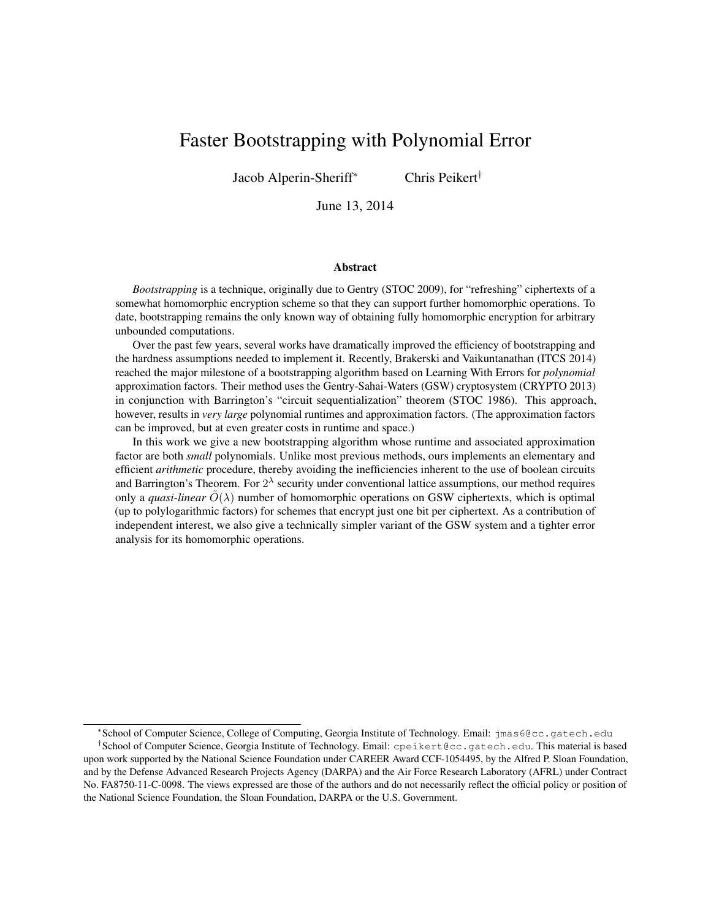# Faster Bootstrapping with Polynomial Error

Jacob Alperin-Sheriff<sup>∗</sup> Chris Peikert†

June 13, 2014

#### Abstract

*Bootstrapping* is a technique, originally due to Gentry (STOC 2009), for "refreshing" ciphertexts of a somewhat homomorphic encryption scheme so that they can support further homomorphic operations. To date, bootstrapping remains the only known way of obtaining fully homomorphic encryption for arbitrary unbounded computations.

Over the past few years, several works have dramatically improved the efficiency of bootstrapping and the hardness assumptions needed to implement it. Recently, Brakerski and Vaikuntanathan (ITCS 2014) reached the major milestone of a bootstrapping algorithm based on Learning With Errors for *polynomial* approximation factors. Their method uses the Gentry-Sahai-Waters (GSW) cryptosystem (CRYPTO 2013) in conjunction with Barrington's "circuit sequentialization" theorem (STOC 1986). This approach, however, results in *very large* polynomial runtimes and approximation factors. (The approximation factors can be improved, but at even greater costs in runtime and space.)

In this work we give a new bootstrapping algorithm whose runtime and associated approximation factor are both *small* polynomials. Unlike most previous methods, ours implements an elementary and efficient *arithmetic* procedure, thereby avoiding the inefficiencies inherent to the use of boolean circuits and Barrington's Theorem. For  $2^{\lambda}$  security under conventional lattice assumptions, our method requires only a *quasi-linear*  $\tilde{O}(\lambda)$  number of homomorphic operations on GSW ciphertexts, which is optimal (up to polylogarithmic factors) for schemes that encrypt just one bit per ciphertext. As a contribution of independent interest, we also give a technically simpler variant of the GSW system and a tighter error analysis for its homomorphic operations.

<sup>∗</sup> School of Computer Science, College of Computing, Georgia Institute of Technology. Email: jmas6@cc.gatech.edu

<sup>†</sup> School of Computer Science, Georgia Institute of Technology. Email: cpeikert@cc.gatech.edu. This material is based upon work supported by the National Science Foundation under CAREER Award CCF-1054495, by the Alfred P. Sloan Foundation, and by the Defense Advanced Research Projects Agency (DARPA) and the Air Force Research Laboratory (AFRL) under Contract No. FA8750-11-C-0098. The views expressed are those of the authors and do not necessarily reflect the official policy or position of the National Science Foundation, the Sloan Foundation, DARPA or the U.S. Government.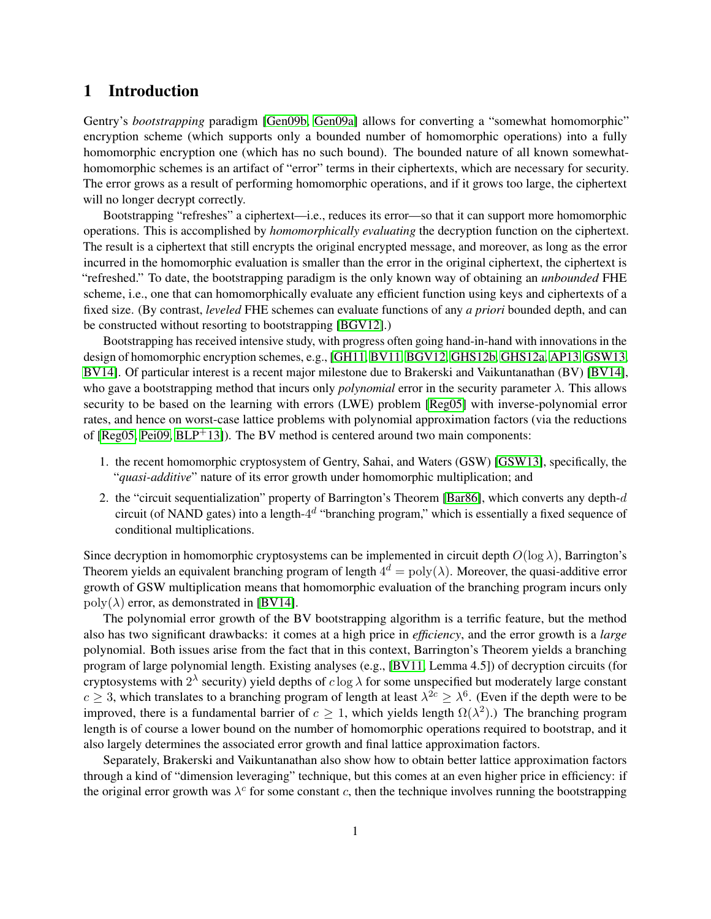# 1 Introduction

Gentry's *bootstrapping* paradigm [\[Gen09b,](#page-16-0) [Gen09a\]](#page-16-1) allows for converting a "somewhat homomorphic" encryption scheme (which supports only a bounded number of homomorphic operations) into a fully homomorphic encryption one (which has no such bound). The bounded nature of all known somewhathomomorphic schemes is an artifact of "error" terms in their ciphertexts, which are necessary for security. The error grows as a result of performing homomorphic operations, and if it grows too large, the ciphertext will no longer decrypt correctly.

Bootstrapping "refreshes" a ciphertext—i.e., reduces its error—so that it can support more homomorphic operations. This is accomplished by *homomorphically evaluating* the decryption function on the ciphertext. The result is a ciphertext that still encrypts the original encrypted message, and moreover, as long as the error incurred in the homomorphic evaluation is smaller than the error in the original ciphertext, the ciphertext is "refreshed." To date, the bootstrapping paradigm is the only known way of obtaining an *unbounded* FHE scheme, i.e., one that can homomorphically evaluate any efficient function using keys and ciphertexts of a fixed size. (By contrast, *leveled* FHE schemes can evaluate functions of any *a priori* bounded depth, and can be constructed without resorting to bootstrapping [\[BGV12\]](#page-16-2).)

Bootstrapping has received intensive study, with progress often going hand-in-hand with innovations in the design of homomorphic encryption schemes, e.g., [\[GH11,](#page-16-3) [BV11,](#page-16-4) [BGV12,](#page-16-2) [GHS12b,](#page-17-0) [GHS12a,](#page-16-5) [AP13,](#page-16-6) [GSW13,](#page-17-1) [BV14\]](#page-16-7). Of particular interest is a recent major milestone due to Brakerski and Vaikuntanathan (BV) [\[BV14\]](#page-16-7), who gave a bootstrapping method that incurs only *polynomial* error in the security parameter  $\lambda$ . This allows security to be based on the learning with errors (LWE) problem [\[Reg05\]](#page-17-2) with inverse-polynomial error rates, and hence on worst-case lattice problems with polynomial approximation factors (via the reductions of  $[Reg05, Pei09, BLP<sup>+</sup>13]$  $[Reg05, Pei09, BLP<sup>+</sup>13]$  $[Reg05, Pei09, BLP<sup>+</sup>13]$  $[Reg05, Pei09, BLP<sup>+</sup>13]$ . The BV method is centered around two main components:

- 1. the recent homomorphic cryptosystem of Gentry, Sahai, and Waters (GSW) [\[GSW13\]](#page-17-1), specifically, the "*quasi-additive*" nature of its error growth under homomorphic multiplication; and
- 2. the "circuit sequentialization" property of Barrington's Theorem [\[Bar86\]](#page-16-9), which converts any depth-d circuit (of NAND gates) into a length- $4^d$  "branching program," which is essentially a fixed sequence of conditional multiplications.

Since decryption in homomorphic cryptosystems can be implemented in circuit depth  $O(\log \lambda)$ , Barrington's Theorem yields an equivalent branching program of length  $4^d = poly(\lambda)$ . Moreover, the quasi-additive error growth of GSW multiplication means that homomorphic evaluation of the branching program incurs only  $poly(\lambda)$  error, as demonstrated in [\[BV14\]](#page-16-7).

The polynomial error growth of the BV bootstrapping algorithm is a terrific feature, but the method also has two significant drawbacks: it comes at a high price in *efficiency*, and the error growth is a *large* polynomial. Both issues arise from the fact that in this context, Barrington's Theorem yields a branching program of large polynomial length. Existing analyses (e.g., [\[BV11,](#page-16-4) Lemma 4.5]) of decryption circuits (for cryptosystems with  $2^{\lambda}$  security) yield depths of  $c \log \lambda$  for some unspecified but moderately large constant  $c \geq 3$ , which translates to a branching program of length at least  $\lambda^{2c} \geq \lambda^6$ . (Even if the depth were to be improved, there is a fundamental barrier of  $c \ge 1$ , which yields length  $\Omega(\lambda^2)$ .) The branching program length is of course a lower bound on the number of homomorphic operations required to bootstrap, and it also largely determines the associated error growth and final lattice approximation factors.

Separately, Brakerski and Vaikuntanathan also show how to obtain better lattice approximation factors through a kind of "dimension leveraging" technique, but this comes at an even higher price in efficiency: if the original error growth was  $\lambda^c$  for some constant c, then the technique involves running the bootstrapping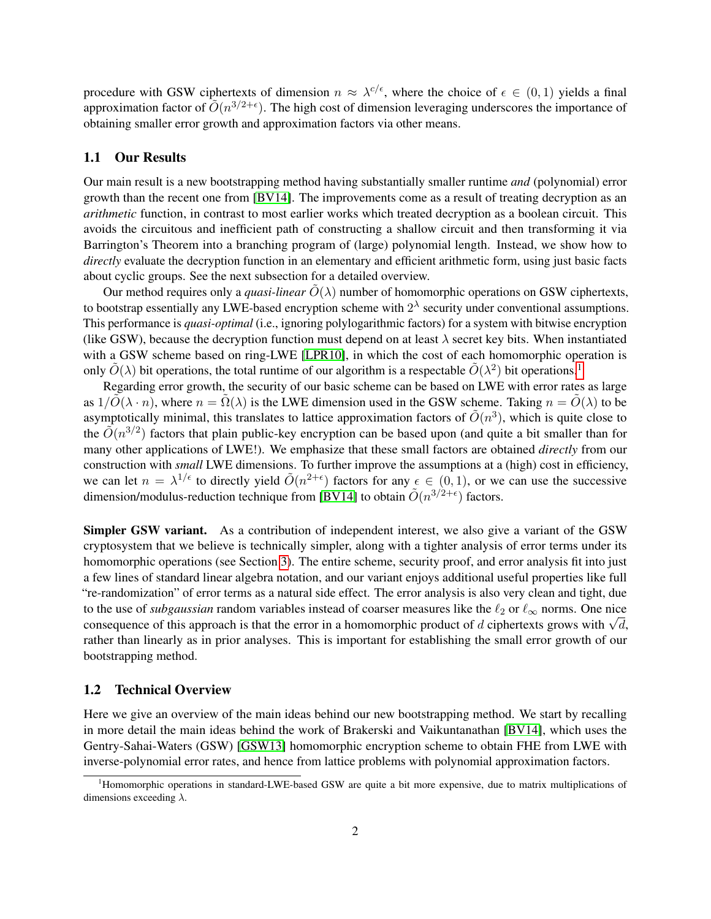procedure with GSW ciphertexts of dimension  $n \approx \lambda^{c/\epsilon}$ , where the choice of  $\epsilon \in (0,1)$  yields a final approximation factor of  $O(n^{3/2+\epsilon})$ . The high cost of dimension leveraging underscores the importance of obtaining smaller error growth and approximation factors via other means.

### 1.1 Our Results

Our main result is a new bootstrapping method having substantially smaller runtime *and* (polynomial) error growth than the recent one from [\[BV14\]](#page-16-7). The improvements come as a result of treating decryption as an *arithmetic* function, in contrast to most earlier works which treated decryption as a boolean circuit. This avoids the circuitous and inefficient path of constructing a shallow circuit and then transforming it via Barrington's Theorem into a branching program of (large) polynomial length. Instead, we show how to *directly* evaluate the decryption function in an elementary and efficient arithmetic form, using just basic facts about cyclic groups. See the next subsection for a detailed overview.

Our method requires only a *quasi-linear*  $O(\lambda)$  number of homomorphic operations on GSW ciphertexts, to bootstrap essentially any LWE-based encryption scheme with  $2^{\lambda}$  security under conventional assumptions. This performance is *quasi-optimal* (i.e., ignoring polylogarithmic factors) for a system with bitwise encryption (like GSW), because the decryption function must depend on at least  $\lambda$  secret key bits. When instantiated with a GSW scheme based on ring-LWE [\[LPR10\]](#page-17-4), in which the cost of each homomorphic operation is only  $\tilde{O}(\lambda)$  bit operations, the total runtime of our algorithm is a respectable  $\tilde{O}(\lambda^2)$  bit operations.<sup>[1](#page-2-0)</sup>

Regarding error growth, the security of our basic scheme can be based on LWE with error rates as large as  $1/\tilde{O}(\lambda \cdot n)$ , where  $n = \tilde{\Omega}(\lambda)$  is the LWE dimension used in the GSW scheme. Taking  $n = \tilde{O}(\lambda)$  to be asymptotically minimal, this translates to lattice approximation factors of  $\tilde{O}(n^3)$ , which is quite close to the  $\tilde{O}(n^{3/2})$  factors that plain public-key encryption can be based upon (and quite a bit smaller than for many other applications of LWE!). We emphasize that these small factors are obtained *directly* from our construction with *small* LWE dimensions. To further improve the assumptions at a (high) cost in efficiency, we can let  $n = \lambda^{1/\epsilon}$  to directly yield  $\tilde{O}(n^{2+\epsilon})$  factors for any  $\epsilon \in (0,1)$ , or we can use the successive dimension/modulus-reduction technique from [\[BV14\]](#page-16-7) to obtain  $\tilde{O}(n^{3/2+\epsilon})$  factors.

Simpler GSW variant. As a contribution of independent interest, we also give a variant of the GSW cryptosystem that we believe is technically simpler, along with a tighter analysis of error terms under its homomorphic operations (see Section [3\)](#page-6-0). The entire scheme, security proof, and error analysis fit into just a few lines of standard linear algebra notation, and our variant enjoys additional useful properties like full "re-randomization" of error terms as a natural side effect. The error analysis is also very clean and tight, due to the use of *subgaussian* random variables instead of coarser measures like the  $\ell_2$  or  $\ell_\infty$  norms. One nice to the use of *subgaussian* random variables instead of coarser measures like the  $\ell_2$  or  $\ell_\infty$  norms. One nice consequence of this approach is that the error in a homomorphic product of d ciphertexts grows with  $\sqrt{d$ rather than linearly as in prior analyses. This is important for establishing the small error growth of our bootstrapping method.

# 1.2 Technical Overview

Here we give an overview of the main ideas behind our new bootstrapping method. We start by recalling in more detail the main ideas behind the work of Brakerski and Vaikuntanathan [\[BV14\]](#page-16-7), which uses the Gentry-Sahai-Waters (GSW) [\[GSW13\]](#page-17-1) homomorphic encryption scheme to obtain FHE from LWE with inverse-polynomial error rates, and hence from lattice problems with polynomial approximation factors.

<span id="page-2-0"></span><sup>&</sup>lt;sup>1</sup>Homomorphic operations in standard-LWE-based GSW are quite a bit more expensive, due to matrix multiplications of dimensions exceeding  $\lambda$ .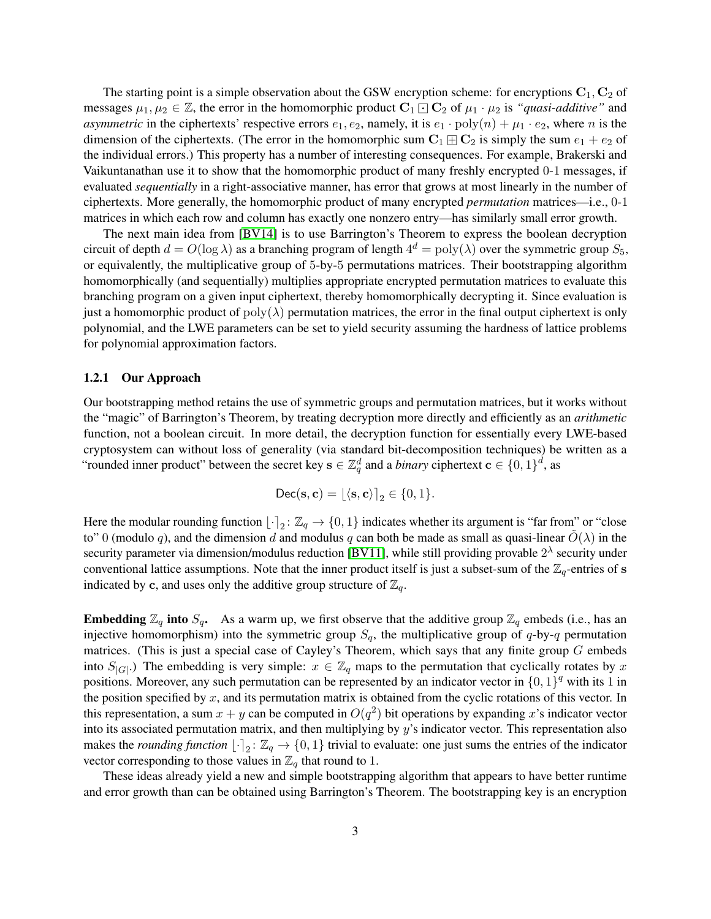The starting point is a simple observation about the GSW encryption scheme: for encryptions  $C_1$ ,  $C_2$  of messages  $\mu_1, \mu_2 \in \mathbb{Z}$ , the error in the homomorphic product  $\mathbf{C}_1 \boxdot \mathbf{C}_2$  of  $\mu_1 \cdot \mu_2$  is *"quasi-additive"* and *asymmetric* in the ciphertexts' respective errors  $e_1, e_2$ , namely, it is  $e_1 \cdot \text{poly}(n) + \mu_1 \cdot e_2$ , where n is the dimension of the ciphertexts. (The error in the homomorphic sum  $C_1 \boxplus C_2$  is simply the sum  $e_1 + e_2$  of the individual errors.) This property has a number of interesting consequences. For example, Brakerski and Vaikuntanathan use it to show that the homomorphic product of many freshly encrypted 0-1 messages, if evaluated *sequentially* in a right-associative manner, has error that grows at most linearly in the number of ciphertexts. More generally, the homomorphic product of many encrypted *permutation* matrices—i.e., 0-1 matrices in which each row and column has exactly one nonzero entry—has similarly small error growth.

The next main idea from [\[BV14\]](#page-16-7) is to use Barrington's Theorem to express the boolean decryption circuit of depth  $d = O(\log \lambda)$  as a branching program of length  $4^d = poly(\lambda)$  over the symmetric group  $S_5$ , or equivalently, the multiplicative group of 5-by-5 permutations matrices. Their bootstrapping algorithm homomorphically (and sequentially) multiplies appropriate encrypted permutation matrices to evaluate this branching program on a given input ciphertext, thereby homomorphically decrypting it. Since evaluation is just a homomorphic product of  $poly(\lambda)$  permutation matrices, the error in the final output ciphertext is only polynomial, and the LWE parameters can be set to yield security assuming the hardness of lattice problems for polynomial approximation factors.

### 1.2.1 Our Approach

Our bootstrapping method retains the use of symmetric groups and permutation matrices, but it works without the "magic" of Barrington's Theorem, by treating decryption more directly and efficiently as an *arithmetic* function, not a boolean circuit. In more detail, the decryption function for essentially every LWE-based cryptosystem can without loss of generality (via standard bit-decomposition techniques) be written as a "rounded inner product" between the secret key  $\mathbf{s} \in \mathbb{Z}_q^d$  and a *binary* ciphertext  $\mathbf{c} \in \{0,1\}^d$ , as

$$
\mathsf{Dec}(\mathbf{s}, \mathbf{c}) = \lfloor \langle \mathbf{s}, \mathbf{c} \rangle \rfloor_2 \in \{0, 1\}.
$$

Here the modular rounding function  $\lfloor \cdot \rceil_2 : \mathbb{Z}_q \to \{0, 1\}$  indicates whether its argument is "far from" or "close to" 0 (modulo q), and the dimension d and modulus q can both be made as small as quasi-linear  $\tilde{O}(\lambda)$  in the security parameter via dimension/modulus reduction [\[BV11\]](#page-16-4), while still providing provable  $2^{\lambda}$  security under conventional lattice assumptions. Note that the inner product itself is just a subset-sum of the  $\mathbb{Z}_q$ -entries of s indicated by c, and uses only the additive group structure of  $\mathbb{Z}_q$ .

**Embedding**  $\mathbb{Z}_q$  into  $S_q$ . As a warm up, we first observe that the additive group  $\mathbb{Z}_q$  embeds (i.e., has an injective homomorphism) into the symmetric group  $S_q$ , the multiplicative group of q-by-q permutation matrices. (This is just a special case of Cayley's Theorem, which says that any finite group  $G$  embeds into  $S_{|G|}$ .) The embedding is very simple:  $x \in \mathbb{Z}_q$  maps to the permutation that cyclically rotates by x positions. Moreover, any such permutation can be represented by an indicator vector in  $\{0, 1\}^q$  with its 1 in the position specified by  $x$ , and its permutation matrix is obtained from the cyclic rotations of this vector. In this representation, a sum  $x + y$  can be computed in  $O(q^2)$  bit operations by expanding x's indicator vector into its associated permutation matrix, and then multiplying by y's indicator vector. This representation also makes the *rounding function*  $\lfloor \cdot \rceil_2 : \mathbb{Z}_q \to \{0, 1\}$  trivial to evaluate: one just sums the entries of the indicator vector corresponding to those values in  $\mathbb{Z}_q$  that round to 1.

These ideas already yield a new and simple bootstrapping algorithm that appears to have better runtime and error growth than can be obtained using Barrington's Theorem. The bootstrapping key is an encryption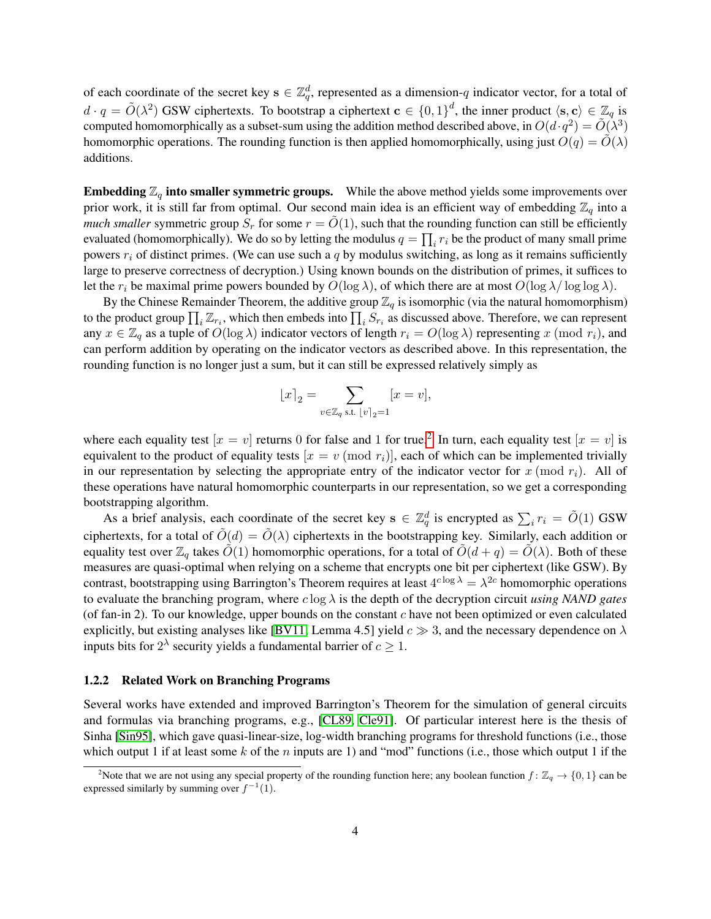of each coordinate of the secret key  $s \in \mathbb{Z}_q^d$ , represented as a dimension-q indicator vector, for a total of  $d \cdot q = \tilde{O}(\lambda^2)$  GSW ciphertexts. To bootstrap a ciphertext  $\mathbf{c} \in \{0,1\}^d$ , the inner product  $\langle \mathbf{s}, \mathbf{c} \rangle \in \mathbb{Z}_q$  is computed homomorphically as a subset-sum using the addition method described above, in  $O(d \cdot q^2) = \tilde{O}(\lambda^3)$ homomorphic operations. The rounding function is then applied homomorphically, using just  $O(q) = O(\lambda)$ additions.

**Embedding**  $\mathbb{Z}_q$  into smaller symmetric groups. While the above method yields some improvements over prior work, it is still far from optimal. Our second main idea is an efficient way of embedding  $\mathbb{Z}_q$  into a *much smaller* symmetric group  $S_r$  for some  $r = O(1)$ , such that the rounding function can still be efficiently evaluated (homomorphically). We do so by letting the modulus  $q = \prod_i r_i$  be the product of many small prime powers  $r_i$  of distinct primes. (We can use such a q by modulus switching, as long as it remains sufficiently large to preserve correctness of decryption.) Using known bounds on the distribution of primes, it suffices to let the  $r_i$  be maximal prime powers bounded by  $O(\log \lambda)$ , of which there are at most  $O(\log \lambda / \log \log \lambda)$ .

By the Chinese Remainder Theorem, the additive group  $\mathbb{Z}_q$  is isomorphic (via the natural homomorphism) to the product group  $\prod_i \mathbb{Z}_{r_i}$ , which then embeds into  $\prod_i S_{r_i}$  as discussed above. Therefore, we can represent any  $x \in \mathbb{Z}_q$  as a tuple of  $O(\log \lambda)$  indicator vectors of length  $r_i = O(\log \lambda)$  representing x (mod  $r_i$ ), and can perform addition by operating on the indicator vectors as described above. In this representation, the rounding function is no longer just a sum, but it can still be expressed relatively simply as

$$
\lfloor x \rceil_2 = \sum_{v \in \mathbb{Z}_q \text{ s.t. } \lfloor v \rceil_2 = 1} [x = v],
$$

where each equality test  $[x = v]$  returns 0 for false and 1 for true.<sup>[2](#page-4-0)</sup> In turn, each equality test  $[x = v]$  is equivalent to the product of equality tests  $[x = v \pmod{r_i}]$ , each of which can be implemented trivially in our representation by selecting the appropriate entry of the indicator vector for  $x \pmod{r_i}$ . All of these operations have natural homomorphic counterparts in our representation, so we get a corresponding bootstrapping algorithm.

As a brief analysis, each coordinate of the secret key  $s \in \mathbb{Z}_q^d$  is encrypted as  $\sum_i r_i = \tilde{O}(1)$  GSW ciphertexts, for a total of  $\tilde{O}(d) = \tilde{O}(\lambda)$  ciphertexts in the bootstrapping key. Similarly, each addition or equality test over  $\mathbb{Z}_q$  takes  $\tilde{O}(1)$  homomorphic operations, for a total of  $\tilde{O}(d+q) = \tilde{O}(\lambda)$ . Both of these measures are quasi-optimal when relying on a scheme that encrypts one bit per ciphertext (like GSW). By contrast, bootstrapping using Barrington's Theorem requires at least  $4^{c \log \lambda} = \lambda^{2c}$  homomorphic operations to evaluate the branching program, where c log λ is the depth of the decryption circuit *using NAND gates* (of fan-in 2). To our knowledge, upper bounds on the constant c have not been optimized or even calculated explicitly, but existing analyses like [\[BV11,](#page-16-4) Lemma 4.5] yield  $c \gg 3$ , and the necessary dependence on  $\lambda$ inputs bits for  $2^{\lambda}$  security yields a fundamental barrier of  $c \geq 1$ .

#### 1.2.2 Related Work on Branching Programs

Several works have extended and improved Barrington's Theorem for the simulation of general circuits and formulas via branching programs, e.g., [\[CL89,](#page-16-10) [Cle91\]](#page-16-11). Of particular interest here is the thesis of Sinha [\[Sin95\]](#page-17-5), which gave quasi-linear-size, log-width branching programs for threshold functions (i.e., those which output 1 if at least some k of the n inputs are 1) and "mod" functions (i.e., those which output 1 if the

<span id="page-4-0"></span><sup>&</sup>lt;sup>2</sup>Note that we are not using any special property of the rounding function here; any boolean function  $f: \mathbb{Z}_q \to \{0,1\}$  can be expressed similarly by summing over  $f^{-1}(1)$ .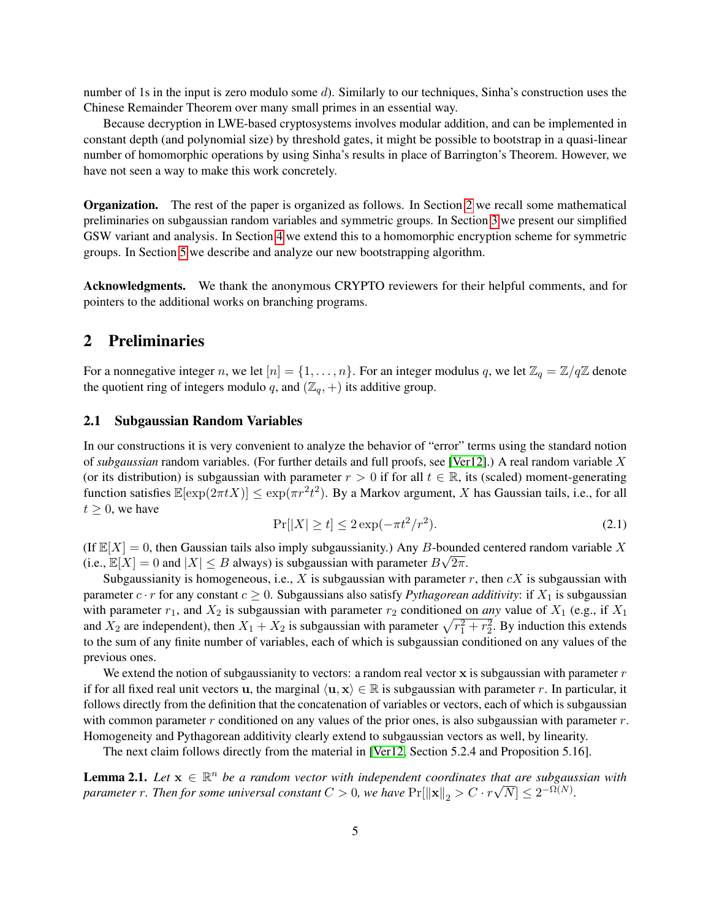number of 1s in the input is zero modulo some d). Similarly to our techniques, Sinha's construction uses the Chinese Remainder Theorem over many small primes in an essential way.

Because decryption in LWE-based cryptosystems involves modular addition, and can be implemented in constant depth (and polynomial size) by threshold gates, it might be possible to bootstrap in a quasi-linear number of homomorphic operations by using Sinha's results in place of Barrington's Theorem. However, we have not seen a way to make this work concretely.

Organization. The rest of the paper is organized as follows. In Section [2](#page-5-0) we recall some mathematical preliminaries on subgaussian random variables and symmetric groups. In Section [3](#page-6-0) we present our simplified GSW variant and analysis. In Section [4](#page-9-0) we extend this to a homomorphic encryption scheme for symmetric groups. In Section [5](#page-12-0) we describe and analyze our new bootstrapping algorithm.

Acknowledgments. We thank the anonymous CRYPTO reviewers for their helpful comments, and for pointers to the additional works on branching programs.

# <span id="page-5-0"></span>2 Preliminaries

For a nonnegative integer n, we let  $[n] = \{1, \ldots, n\}$ . For an integer modulus q, we let  $\mathbb{Z}_q = \mathbb{Z}/q\mathbb{Z}$  denote the quotient ring of integers modulo q, and  $(\mathbb{Z}_q, +)$  its additive group.

# 2.1 Subgaussian Random Variables

In our constructions it is very convenient to analyze the behavior of "error" terms using the standard notion of *subgaussian* random variables. (For further details and full proofs, see [\[Ver12\]](#page-17-6).) A real random variable X (or its distribution) is subgaussian with parameter  $r > 0$  if for all  $t \in \mathbb{R}$ , its (scaled) moment-generating function satisfies  $\mathbb{E}[\exp(2\pi t X)] \leq \exp(\pi r^2 t^2)$ . By a Markov argument, X has Gaussian tails, i.e., for all  $t \geq 0$ , we have

$$
\Pr[|X| \ge t] \le 2\exp(-\pi t^2/r^2). \tag{2.1}
$$

(If  $\mathbb{E}[X] = 0$ , then Gaussian tails also imply subgaussianity.) Any B-bounded centered random variable X (i.e.,  $\mathbb{E}[X] = 0$  and  $|X| \leq B$  always) is subgaussian with parameter  $B\sqrt{2\pi}$ .

Subgaussianity is homogeneous, i.e., X is subgaussian with parameter r, then  $cX$  is subgaussian with parameter  $c \cdot r$  for any constant  $c \geq 0$ . Subgaussians also satisfy *Pythagorean additivity*: if  $X_1$  is subgaussian with parameter  $r_1$ , and  $X_2$  is subgaussian with parameter  $r_2$  conditioned on *any* value of  $X_1$  (e.g., if  $X_1$ and  $X_2$  are independent), then  $X_1 + X_2$  is subgaussian with parameter  $\sqrt{r_1^2 + r_2^2}$ . By induction this extends to the sum of any finite number of variables, each of which is subgaussian conditioned on any values of the previous ones.

We extend the notion of subgaussianity to vectors: a random real vector  $x$  is subgaussian with parameter  $r$ if for all fixed real unit vectors u, the marginal  $\langle u, x \rangle \in \mathbb{R}$  is subgaussian with parameter r. In particular, it follows directly from the definition that the concatenation of variables or vectors, each of which is subgaussian with common parameter  $r$  conditioned on any values of the prior ones, is also subgaussian with parameter  $r$ . Homogeneity and Pythagorean additivity clearly extend to subgaussian vectors as well, by linearity.

The next claim follows directly from the material in [\[Ver12,](#page-17-6) Section 5.2.4 and Proposition 5.16].

<span id="page-5-1"></span>**Lemma 2.1.** Let  $\mathbf{x} \in \mathbb{R}^n$  be a random vector with independent coordinates that are subgaussian with *parameter r. Then for some universal constant*  $C > 0$ , we have  $Pr[\|\mathbf{x}\|_2 > C \cdot r\sqrt{N}] \leq 2^{-\Omega(N)}$ .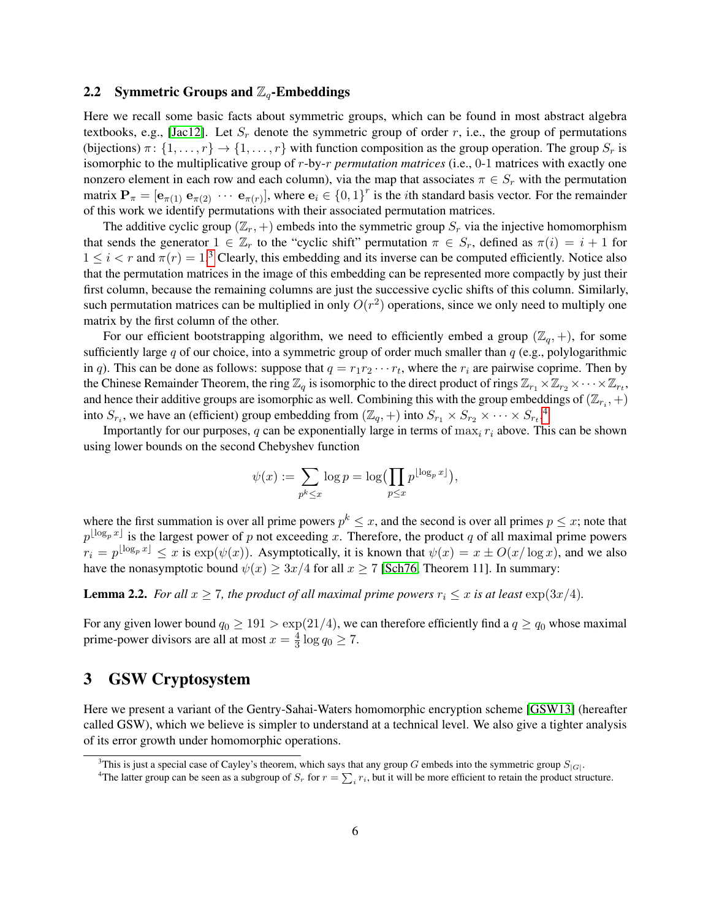### <span id="page-6-4"></span>2.2 Symmetric Groups and  $\mathbb{Z}_q$ -Embeddings

Here we recall some basic facts about symmetric groups, which can be found in most abstract algebra textbooks, e.g., [\[Jac12\]](#page-17-7). Let  $S_r$  denote the symmetric group of order r, i.e., the group of permutations (bijections)  $\pi$ :  $\{1,\ldots,r\}$   $\rightarrow$   $\{1,\ldots,r\}$  with function composition as the group operation. The group  $S_r$  is isomorphic to the multiplicative group of r-by-r *permutation matrices* (i.e., 0-1 matrices with exactly one nonzero element in each row and each column), via the map that associates  $\pi \in S_r$  with the permutation matrix  $\mathbf{P}_{\pi} = [\mathbf{e}_{\pi(1)} \ \mathbf{e}_{\pi(2)} \ \cdots \ \mathbf{e}_{\pi(r)}]$ , where  $\mathbf{e}_i \in \{0,1\}^r$  is the *i*th standard basis vector. For the remainder of this work we identify permutations with their associated permutation matrices.

The additive cyclic group ( $\mathbb{Z}_r$ , +) embeds into the symmetric group  $S_r$  via the injective homomorphism that sends the generator  $1 \in \mathbb{Z}_r$  to the "cyclic shift" permutation  $\pi \in S_r$ , defined as  $\pi(i) = i + 1$  for  $1 \leq i < r$  and  $\pi(r) = 1$ .<sup>[3](#page-6-1)</sup> Clearly, this embedding and its inverse can be computed efficiently. Notice also that the permutation matrices in the image of this embedding can be represented more compactly by just their first column, because the remaining columns are just the successive cyclic shifts of this column. Similarly, such permutation matrices can be multiplied in only  $O(r^2)$  operations, since we only need to multiply one matrix by the first column of the other.

For our efficient bootstrapping algorithm, we need to efficiently embed a group  $(\mathbb{Z}_q, +)$ , for some sufficiently large q of our choice, into a symmetric group of order much smaller than  $q$  (e.g., polylogarithmic in q). This can be done as follows: suppose that  $q = r_1 r_2 \cdots r_t$ , where the  $r_i$  are pairwise coprime. Then by the Chinese Remainder Theorem, the ring  $\mathbb{Z}_q$  is isomorphic to the direct product of rings  $\mathbb{Z}_{r_1}\times\mathbb{Z}_{r_2}\times\cdots\times\mathbb{Z}_{r_t}$ , and hence their additive groups are isomorphic as well. Combining this with the group embeddings of  $(\mathbb{Z}_{r_i}, +)$ into  $S_{r_i}$ , we have an (efficient) group embedding from  $(\mathbb{Z}_q, +)$  into  $S_{r_1} \times S_{r_2} \times \cdots \times S_{r_t}$ .<sup>[4](#page-6-2)</sup>

Importantly for our purposes, q can be exponentially large in terms of  $\max_i r_i$  above. This can be shown using lower bounds on the second Chebyshev function

$$
\psi(x) := \sum_{p^k \leq x} \log p = \log \left( \prod_{p \leq x} p^{\lfloor \log_p x \rfloor} \right),\,
$$

where the first summation is over all prime powers  $p^k \leq x$ , and the second is over all primes  $p \leq x$ ; note that  $p^{\lfloor \log_p x \rfloor}$  is the largest power of p not exceeding x. Therefore, the product q of all maximal prime powers  $r_i = p^{\lfloor \log_p x \rfloor} \le x$  is  $\exp(\psi(x))$ . Asymptotically, it is known that  $\psi(x) = x \pm O(x/\log x)$ , and we also have the nonasymptotic bound  $\psi(x) \geq 3x/4$  for all  $x \geq 7$  [\[Sch76,](#page-17-8) Theorem 11]. In summary:

<span id="page-6-3"></span>**Lemma 2.2.** *For all*  $x \ge 7$ *, the product of all maximal prime powers*  $r_i \le x$  *is at least*  $\exp(3x/4)$ *.* 

For any given lower bound  $q_0 \ge 191 > \exp(21/4)$ , we can therefore efficiently find a  $q \ge q_0$  whose maximal prime-power divisors are all at most  $x = \frac{4}{3}$  $\frac{4}{3} \log q_0 \geq 7.$ 

# <span id="page-6-0"></span>3 GSW Cryptosystem

Here we present a variant of the Gentry-Sahai-Waters homomorphic encryption scheme [\[GSW13\]](#page-17-1) (hereafter called GSW), which we believe is simpler to understand at a technical level. We also give a tighter analysis of its error growth under homomorphic operations.

<span id="page-6-1"></span><sup>&</sup>lt;sup>3</sup>This is just a special case of Cayley's theorem, which says that any group G embeds into the symmetric group  $S_{|G|}$ .

<span id="page-6-2"></span><sup>&</sup>lt;sup>4</sup>The latter group can be seen as a subgroup of  $S_r$  for  $r = \sum_i r_i$ , but it will be more efficient to retain the product structure.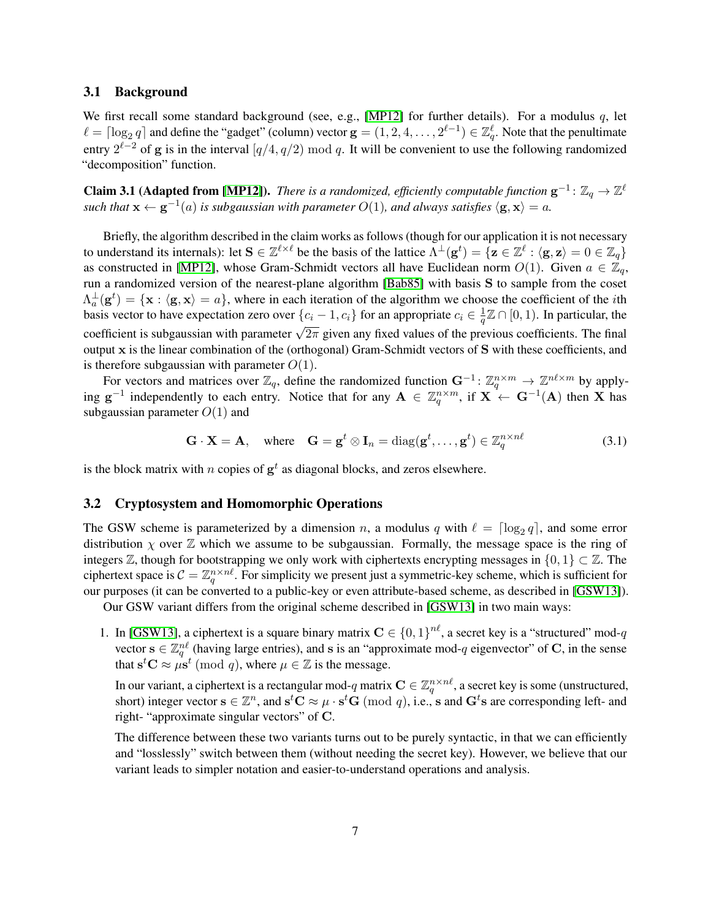### 3.1 Background

We first recall some standard background (see, e.g., [\[MP12\]](#page-17-9) for further details). For a modulus  $q$ , let  $\ell = \lceil \log_2 q \rceil$  and define the "gadget" (column) vector  $\mathbf{g} = (1, 2, 4, \dots, 2^{\ell-1}) \in \mathbb{Z}_q^{\ell}$ . Note that the penultimate entry  $2^{\ell-2}$  of g is in the interval  $\left[\frac{q}{4}, \frac{q}{2}\right]$  mod q. It will be convenient to use the following randomized "decomposition" function.

<span id="page-7-0"></span>**Claim 3.1 (Adapted from [\[MP12\]](#page-17-9)).** *There is a randomized, efficiently computable function*  $\mathbf{g}^{-1}$ :  $\mathbb{Z}_q \to \mathbb{Z}^{\ell}$ *such that*  $\mathbf{x} \leftarrow \mathbf{g}^{-1}(a)$  *is subgaussian with parameter*  $O(1)$ *, and always satisfies*  $\langle \mathbf{g}, \mathbf{x} \rangle = a$ *.* 

Briefly, the algorithm described in the claim works as follows (though for our application it is not necessary to understand its internals): let  $S \in \mathbb{Z}^{\ell \times \ell}$  be the basis of the lattice  $\Lambda^{\perp}(g^t) = \{z \in \mathbb{Z}^\ell : \langle g, z \rangle = 0 \in \mathbb{Z}_q\}$ as constructed in [\[MP12\]](#page-17-9), whose Gram-Schmidt vectors all have Euclidean norm  $O(1)$ . Given  $a \in \mathbb{Z}_q$ , run a randomized version of the nearest-plane algorithm [\[Bab85\]](#page-16-12) with basis S to sample from the coset  $\Lambda_a^{\perp}(\mathbf{g}^t) = {\mathbf{x} : \langle \mathbf{g}, \mathbf{x} \rangle = a}$ , where in each iteration of the algorithm we choose the coefficient of the *i*th basis vector to have expectation zero over  $\{c_i - 1, c_i\}$  for an appropriate  $c_i \in \frac{1}{a}$  $\frac{1}{q}\mathbb{Z} \cap [0,1)$ . In particular, the coefficient is subgaussian with parameter  $\sqrt{2\pi}$  given any fixed values of the previous coefficients. The final output x is the linear combination of the (orthogonal) Gram-Schmidt vectors of S with these coefficients, and is therefore subgaussian with parameter  $O(1)$ .

For vectors and matrices over  $\mathbb{Z}_q$ , define the randomized function  $\mathbf{G}^{-1}$ :  $\mathbb{Z}_q^{n \times m} \to \mathbb{Z}^{n\ell \times m}$  by applying  $g^{-1}$  independently to each entry. Notice that for any  $A \in \mathbb{Z}_q^{n \times m}$ , if  $X \leftarrow G^{-1}(A)$  then X has subgaussian parameter  $O(1)$  and

<span id="page-7-1"></span>
$$
\mathbf{G} \cdot \mathbf{X} = \mathbf{A}, \quad \text{where} \quad \mathbf{G} = \mathbf{g}^t \otimes \mathbf{I}_n = \text{diag}(\mathbf{g}^t, \dots, \mathbf{g}^t) \in \mathbb{Z}_q^{n \times n\ell}
$$
 (3.1)

is the block matrix with *n* copies of  $g^t$  as diagonal blocks, and zeros elsewhere.

# <span id="page-7-2"></span>3.2 Cryptosystem and Homomorphic Operations

The GSW scheme is parameterized by a dimension n, a modulus q with  $\ell = \lceil \log_2 q \rceil$ , and some error distribution  $\chi$  over  $\mathbb Z$  which we assume to be subgaussian. Formally, the message space is the ring of integers  $\mathbb{Z}$ , though for bootstrapping we only work with ciphertexts encrypting messages in  $\{0, 1\} \subset \mathbb{Z}$ . The ciphertext space is  $C=\mathbb{Z}_q^{n\times n\ell}$ . For simplicity we present just a symmetric-key scheme, which is sufficient for our purposes (it can be converted to a public-key or even attribute-based scheme, as described in [\[GSW13\]](#page-17-1)).

Our GSW variant differs from the original scheme described in [\[GSW13\]](#page-17-1) in two main ways:

1. In [\[GSW13\]](#page-17-1), a ciphertext is a square binary matrix  $C \in \{0,1\}^{n\ell}$ , a secret key is a "structured" mod-q vector  $\mathbf{s} \in \mathbb{Z}_q^{n\ell}$  (having large entries), and s is an "approximate mod-q eigenvector" of C, in the sense that  $\mathbf{s}^t \mathbf{C} \approx \mu \mathbf{s}^t \pmod{q}$ , where  $\mu \in \mathbb{Z}$  is the message.

In our variant, a ciphertext is a rectangular mod-q matrix  $\mathbf{C}\in \mathbb{Z}_q^{n\times n\ell}$ , a secret key is some (unstructured, short) integer vector  $\mathbf{s} \in \mathbb{Z}^n$ , and  $\mathbf{s}^t \mathbf{C} \approx \mu \cdot \mathbf{s}^t \mathbf{G} \pmod{q}$ , i.e., s and  $\mathbf{G}^t \mathbf{s}$  are corresponding left- and right- "approximate singular vectors" of C.

The difference between these two variants turns out to be purely syntactic, in that we can efficiently and "losslessly" switch between them (without needing the secret key). However, we believe that our variant leads to simpler notation and easier-to-understand operations and analysis.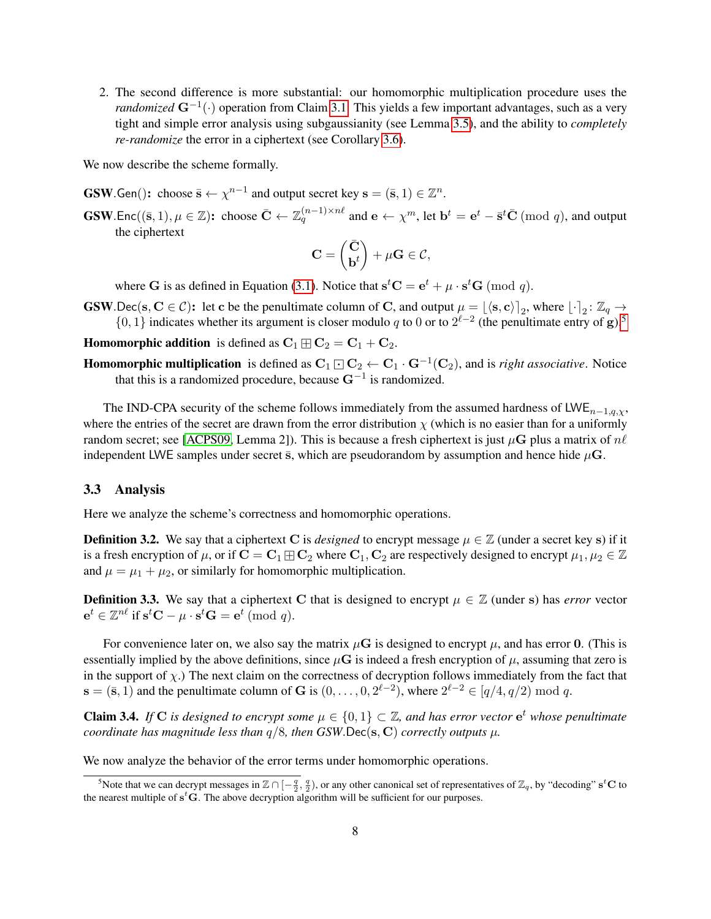2. The second difference is more substantial: our homomorphic multiplication procedure uses the *randomized*  $\mathbf{G}^{-1}(\cdot)$  operation from Claim [3.1.](#page-7-0) This yields a few important advantages, such as a very tight and simple error analysis using subgaussianity (see Lemma [3.5\)](#page-8-0), and the ability to *completely re-randomize* the error in a ciphertext (see Corollary [3.6\)](#page-9-1).

We now describe the scheme formally.

**GSW**.Gen(): choose  $\bar{\mathbf{s}} \leftarrow \chi^{n-1}$  and output secret key  $\mathbf{s} = (\bar{\mathbf{s}}, 1) \in \mathbb{Z}^n$ .

**GSW**.Enc $((\bar{s}, 1), \mu \in \mathbb{Z})$ : choose  $\bar{C} \leftarrow \mathbb{Z}_q^{(n-1)\times n\ell}$  and  $e \leftarrow \chi^m$ , let  $\mathbf{b}^t = \mathbf{e}^t - \bar{\mathbf{s}}^t \bar{\mathbf{C}} \pmod{q}$ , and output the ciphertext

$$
\mathbf{C} = \begin{pmatrix} \bar{\mathbf{C}} \\ \mathbf{b}^t \end{pmatrix} + \mu \mathbf{G} \in \mathcal{C},
$$

where G is as defined in Equation [\(3.1\)](#page-7-1). Notice that  $\mathbf{s}^t \mathbf{C} = \mathbf{e}^t + \mu \cdot \mathbf{s}^t \mathbf{G} \pmod{q}$ .

**GSW**.Dec(s,  $C \in \mathcal{C}$ ): let c be the penultimate column of C, and output  $\mu = [\langle s, c \rangle]_2$ , where  $[\cdot]_2 : \mathbb{Z}_q \to$  $\{0, 1\}$  indicates whether its argument is closer modulo q to 0 or to  $2^{\ell-2}$  (the penultimate entry of g).<sup>[5](#page-8-1)</sup>

**Homomorphic addition** is defined as  $C_1 \boxplus C_2 = C_1 + C_2$ .

**Homomorphic multiplication** is defined as  $C_1 \square C_2 \leftarrow C_1 \cdot G^{-1}(C_2)$ , and is *right associative*. Notice that this is a randomized procedure, because  $G^{-1}$  is randomized.

The IND-CPA security of the scheme follows immediately from the assumed hardness of LWE<sub>n−1,*a*, $\chi$ ,</sub> where the entries of the secret are drawn from the error distribution  $\chi$  (which is no easier than for a uniformly random secret; see [\[ACPS09,](#page-16-13) Lemma 2]). This is because a fresh ciphertext is just  $\mu$ G plus a matrix of  $n\ell$ independent LWE samples under secret  $\bar{s}$ , which are pseudorandom by assumption and hence hide  $\mu$ G.

### 3.3 Analysis

Here we analyze the scheme's correctness and homomorphic operations.

**Definition 3.2.** We say that a ciphertext C is *designed* to encrypt message  $\mu \in \mathbb{Z}$  (under a secret key s) if it is a fresh encryption of  $\mu$ , or if  $\mathbf{C} = \mathbf{C}_1 \boxplus \mathbf{C}_2$  where  $\mathbf{C}_1, \mathbf{C}_2$  are respectively designed to encrypt  $\mu_1, \mu_2 \in \mathbb{Z}$ and  $\mu = \mu_1 + \mu_2$ , or similarly for homomorphic multiplication.

**Definition 3.3.** We say that a ciphertext C that is designed to encrypt  $\mu \in \mathbb{Z}$  (under s) has *error* vector  $e^t \in \mathbb{Z}^{n\ell}$  if  $s^t\mathbf{C} - \mu \cdot s^t\mathbf{G} = e^t \pmod{q}$ .

For convenience later on, we also say the matrix  $\mu$ **G** is designed to encrypt  $\mu$ , and has error 0. (This is essentially implied by the above definitions, since  $\mu$ G is indeed a fresh encryption of  $\mu$ , assuming that zero is in the support of  $\chi$ .) The next claim on the correctness of decryption follows immediately from the fact that  $\mathbf{s} = (\bar{\mathbf{s}}, 1)$  and the penultimate column of G is  $(0, \ldots, 0, 2^{\ell-2})$ , where  $2^{\ell-2} \in [q/4, q/2) \mod q$ .

<span id="page-8-2"></span>Claim 3.4. *If* C is designed to encrypt some  $\mu \in \{0,1\} \subset \mathbb{Z}$ , and has error vector  $e^t$  whose penultimate *coordinate has magnitude less than*  $q/8$ *, then*  $GSW$ . Dec(s, C) *correctly outputs*  $\mu$ *.* 

We now analyze the behavior of the error terms under homomorphic operations.

<span id="page-8-1"></span><span id="page-8-0"></span><sup>&</sup>lt;sup>5</sup>Note that we can decrypt messages in  $\mathbb{Z} \cap [-\frac{q}{2}, \frac{q}{2})$ , or any other canonical set of representatives of  $\mathbb{Z}_q$ , by "decoding" s<sup>t</sup>C to the nearest multiple of  $s<sup>t</sup>G$ . The above decryption algorithm will be sufficient for our purposes.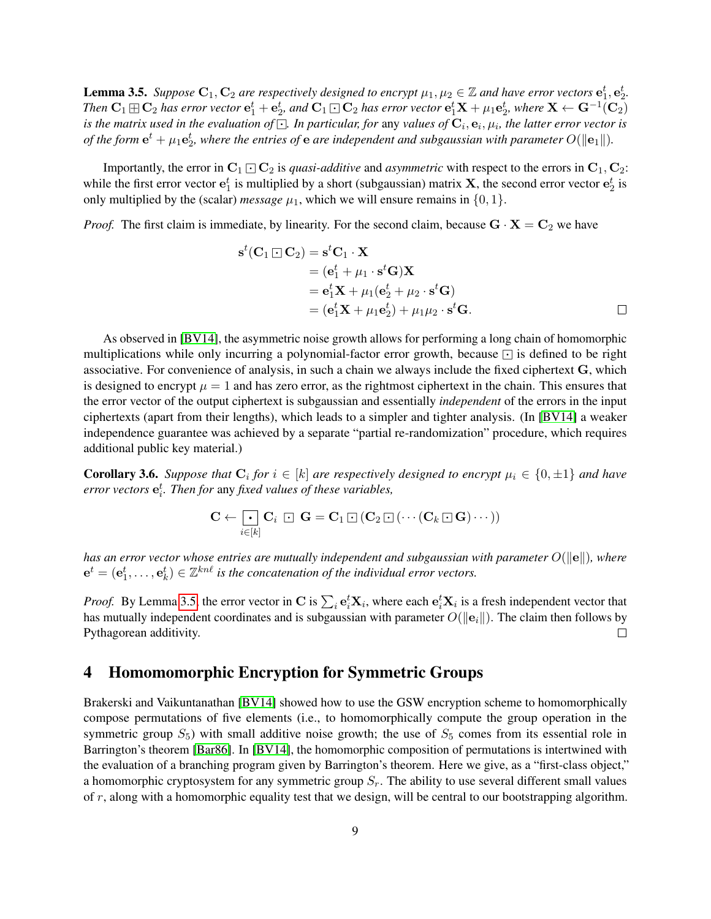**Lemma 3.5.** Suppose  $C_1, C_2$  are respectively designed to encrypt  $\mu_1, \mu_2 \in \mathbb{Z}$  and have error vectors  $e_1^t, e_2^t$ . Then  $\bf C_1$   $\rm \oplus C_2$  has error vector  $\bf e_1^t+\bf e_2^t$ , and  $\bf C_1$   $\rm \odot C_2$  has error vector  $\bf e_1^t{\bf X}+\mu_1\bf e_2^t$ , where  $\bf X\leftarrow G^{-1}(\bf C_2)$ is the matrix used in the evaluation of  $\boxdot$ . In particular, for any values of  ${\bf C}_i, {\bf e}_i, \mu_i,$  the latter error vector is of the form  ${\bf e}^t + \mu_1 {\bf e}_2^t$ , where the entries of  ${\bf e}$  are independent and subgaussian with parameter  $O(\|{\bf e}_1\|).$ 

Importantly, the error in  $C_1 \square C_2$  is *quasi-additive* and *asymmetric* with respect to the errors in  $C_1, C_2$ : while the first error vector  $e_1^t$  is multiplied by a short (subgaussian) matrix **X**, the second error vector  $e_2^t$  is only multiplied by the (scalar) *message*  $\mu_1$ , which we will ensure remains in  $\{0, 1\}$ .

*Proof.* The first claim is immediate, by linearity. For the second claim, because  $G \cdot X = C_2$  we have

$$
st(C1 \square C2) = stC1 · X
$$
  
= (e<sub>1</sub><sup>t</sup> +  $\mu_1 \cdot s^t G$ )X  
= e<sub>1</sub><sup>t</sup>X +  $\mu_1$ (e<sub>2</sub><sup>t</sup> +  $\mu_2 \cdot s^t G$ )  
= (e<sub>1</sub><sup>t</sup>X +  $\mu_1 e_2^t$ ) +  $\mu_1 \mu_2 \cdot s^t G$ .

As observed in [\[BV14\]](#page-16-7), the asymmetric noise growth allows for performing a long chain of homomorphic multiplications while only incurring a polynomial-factor error growth, because  $\Box$  is defined to be right associative. For convenience of analysis, in such a chain we always include the fixed ciphertext G, which is designed to encrypt  $\mu = 1$  and has zero error, as the rightmost ciphertext in the chain. This ensures that the error vector of the output ciphertext is subgaussian and essentially *independent* of the errors in the input ciphertexts (apart from their lengths), which leads to a simpler and tighter analysis. (In [\[BV14\]](#page-16-7) a weaker independence guarantee was achieved by a separate "partial re-randomization" procedure, which requires additional public key material.)

<span id="page-9-1"></span>**Corollary 3.6.** *Suppose that*  $C_i$  *for*  $i \in [k]$  *are respectively designed to encrypt*  $\mu_i \in \{0, \pm 1\}$  *and have error vectors* e t i *. Then for* any *fixed values of these variables,*

$$
\mathbf{C} \leftarrow \fbox[\mathbf{c}_i \; \fbox{--}\mathbf{C}_i \; \fbox{--}\mathbf{G} = \mathbf{C}_1 \, \fbox{--}\, (\mathbf{C}_2 \, \fbox{--}\, (\cdots (\mathbf{C}_k \, \fbox{--}\, \mathbf{G}) \cdots))
$$

*has an error vector whose entries are mutually independent and subgaussian with parameter*  $O(\|\mathbf{e}\|)$ *, where*  $e^t = (e_1^t, \ldots, e_k^t) \in \mathbb{Z}^{kn\ell}$  is the concatenation of the individual error vectors.

*Proof.* By Lemma [3.5,](#page-8-0) the error vector in C is  $\sum_i \mathbf{e}_i^t \mathbf{X}_i$ , where each  $\mathbf{e}_i^t \mathbf{X}_i$  is a fresh independent vector that has mutually independent coordinates and is subgaussian with parameter  $O(||e_i||)$ . The claim then follows by  $\Box$ Pythagorean additivity.

# <span id="page-9-0"></span>4 Homomomorphic Encryption for Symmetric Groups

Brakerski and Vaikuntanathan [\[BV14\]](#page-16-7) showed how to use the GSW encryption scheme to homomorphically compose permutations of five elements (i.e., to homomorphically compute the group operation in the symmetric group  $S_5$ ) with small additive noise growth; the use of  $S_5$  comes from its essential role in Barrington's theorem [\[Bar86\]](#page-16-9). In [\[BV14\]](#page-16-7), the homomorphic composition of permutations is intertwined with the evaluation of a branching program given by Barrington's theorem. Here we give, as a "first-class object," a homomorphic cryptosystem for any symmetric group  $S_r$ . The ability to use several different small values of  $r$ , along with a homomorphic equality test that we design, will be central to our bootstrapping algorithm.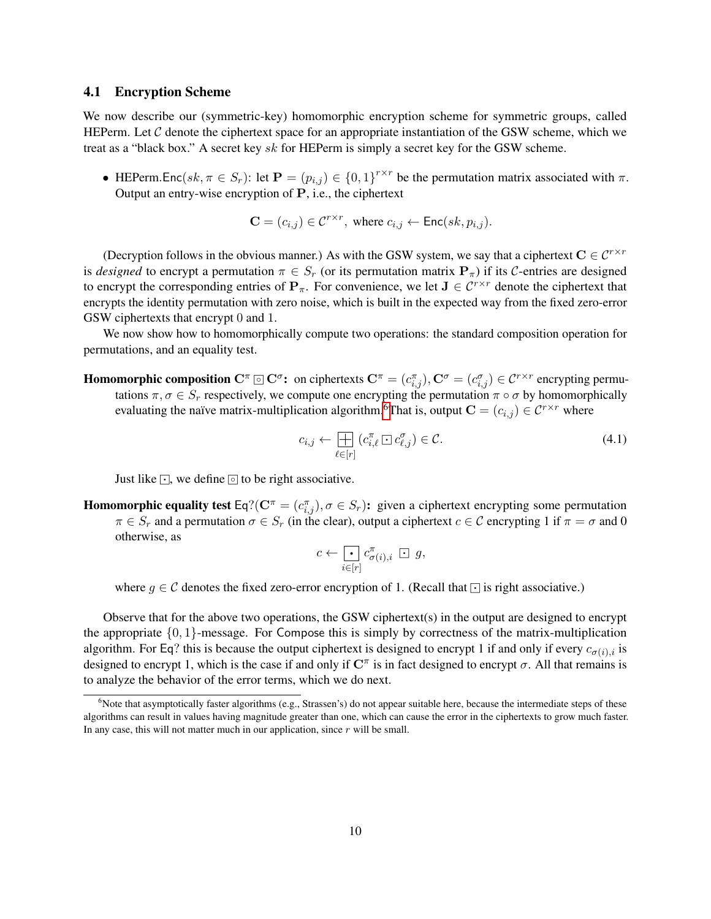## 4.1 Encryption Scheme

We now describe our (symmetric-key) homomorphic encryption scheme for symmetric groups, called HEPerm. Let  $C$  denote the ciphertext space for an appropriate instantiation of the GSW scheme, which we treat as a "black box." A secret key sk for HEPerm is simply a secret key for the GSW scheme.

• HEPerm.Enc(sk,  $\pi \in S_r$ ): let  $\mathbf{P} = (p_{i,j}) \in \{0,1\}^{r \times r}$  be the permutation matrix associated with  $\pi$ . Output an entry-wise encryption of P, i.e., the ciphertext

$$
\mathbf{C} = (c_{i,j}) \in \mathcal{C}^{r \times r}, \text{ where } c_{i,j} \leftarrow \text{Enc}(sk, p_{i,j}).
$$

(Decryption follows in the obvious manner.) As with the GSW system, we say that a ciphertext  $C \in C^{r \times r}$ is *designed* to encrypt a permutation  $\pi \in S_r$  (or its permutation matrix  $\mathbf{P}_{\pi}$ ) if its C-entries are designed to encrypt the corresponding entries of  $P_{\pi}$ . For convenience, we let  $J \in \mathcal{C}^{r \times r}$  denote the ciphertext that encrypts the identity permutation with zero noise, which is built in the expected way from the fixed zero-error GSW ciphertexts that encrypt 0 and 1.

We now show how to homomorphically compute two operations: the standard composition operation for permutations, and an equality test.

**Homomorphic composition**  $\mathbf{C}^{\pi} \boxdot \mathbf{C}^{\sigma}$ : on ciphertexts  $\mathbf{C}^{\pi} = (c_{i,j}^{\pi}), \mathbf{C}^{\sigma} = (c_{i,j}^{\sigma}) \in \mathcal{C}^{r \times r}$  encrypting permutations  $\pi, \sigma \in S_r$  respectively, we compute one encrypting the permutation  $\pi \circ \sigma$  by homomorphically evaluating the naïve matrix-multiplication algorithm.<sup>[6](#page-10-0)</sup>That is, output  $\mathbf{C} = (c_{i,j}) \in \mathcal{C}^{r \times r}$  where

<span id="page-10-1"></span>
$$
c_{i,j} \leftarrow \prod_{\ell \in [r]} \left( c_{i,\ell}^{\pi} \boxdot c_{\ell,j}^{\sigma} \right) \in \mathcal{C}.
$$
\n(4.1)

Just like  $\cdot$ , we define  $\circ$  to be right associative.

**Homomorphic equality test** Eq?( $C^{\pi} = (c_{i,j}^{\pi})$ ,  $\sigma \in S_r$ ): given a ciphertext encrypting some permutation  $\pi \in S_r$  and a permutation  $\sigma \in S_r$  (in the clear), output a ciphertext  $c \in \mathcal{C}$  encrypting 1 if  $\pi = \sigma$  and 0 otherwise, as

$$
c \leftarrow \bigodot_{i \in [r]} c^{\pi}_{\sigma(i), i} \ \Box \ g,
$$

where  $g \in \mathcal{C}$  denotes the fixed zero-error encryption of 1. (Recall that  $\lceil \cdot \rceil$  is right associative.)

Observe that for the above two operations, the GSW ciphertext(s) in the output are designed to encrypt the appropriate  $\{0, 1\}$ -message. For Compose this is simply by correctness of the matrix-multiplication algorithm. For Eq? this is because the output ciphertext is designed to encrypt 1 if and only if every  $c_{\sigma(i),i}$  is designed to encrypt 1, which is the case if and only if  $\mathbb{C}^{\pi}$  is in fact designed to encrypt  $\sigma$ . All that remains is to analyze the behavior of the error terms, which we do next.

<span id="page-10-0"></span> $6$ Note that asymptotically faster algorithms (e.g., Strassen's) do not appear suitable here, because the intermediate steps of these algorithms can result in values having magnitude greater than one, which can cause the error in the ciphertexts to grow much faster. In any case, this will not matter much in our application, since  $r$  will be small.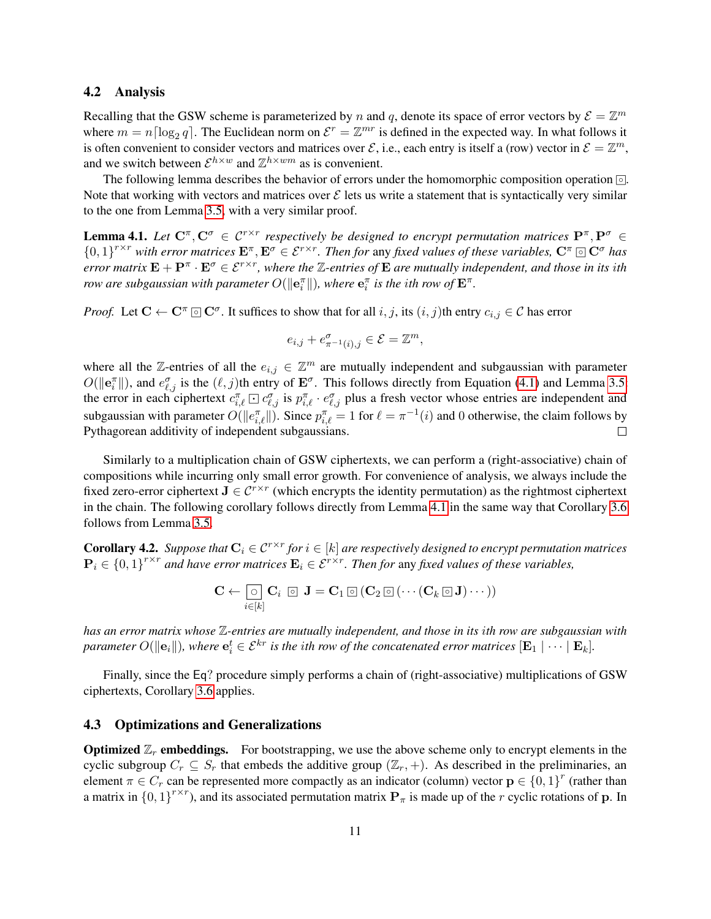# 4.2 Analysis

Recalling that the GSW scheme is parameterized by n and q, denote its space of error vectors by  $\mathcal{E} = \mathbb{Z}^m$ where  $m = n \lceil \log_2 q \rceil$ . The Euclidean norm on  $\mathcal{E}^r = \mathbb{Z}^{mr}$  is defined in the expected way. In what follows it is often convenient to consider vectors and matrices over  $\mathcal{E}$ , i.e., each entry is itself a (row) vector in  $\mathcal{E} = \mathbb{Z}^m$ , and we switch between  $\mathcal{E}^{h \times w}$  and  $\mathbb{Z}^{h \times w}$  as is convenient.

The following lemma describes the behavior of errors under the homomorphic composition operation  $\circledcirc$ . Note that working with vectors and matrices over  $\mathcal E$  lets us write a statement that is syntactically very similar to the one from Lemma [3.5,](#page-8-0) with a very similar proof.

<span id="page-11-0"></span>**Lemma 4.1.** Let  $C^{\pi}, C^{\sigma} \in C^{r \times r}$  respectively be designed to encrypt permutation matrices  $P^{\pi}, P^{\sigma} \in$  $\{0,1\}^{r\times r}$  with error matrices  $\mathbf{E}^\pi, \mathbf{E}^\sigma \in \mathcal{E}^{r\times r}$ . Then for any fixed values of these variables,  $\mathbf{C}^\pi \boxdot \mathbf{C}^\sigma$  has *error matrix*  $\mathbf{E} + \mathbf{P}^{\pi} \cdot \mathbf{E}^{\sigma} \in \mathcal{E}^{r \times r}$ , where the  $\mathbb{Z}$ -entries of  $\mathbf{E}$  are mutually independent, and those in its ith *row are subgaussian with parameter*  $O(\|\mathbf{e}_i^\pi\|)$ *, where*  $\mathbf{e}_i^\pi$  *is the ith row of*  $\mathbf{E}^\pi$ .

*Proof.* Let  $C \leftarrow C^{\pi} \circlearrowright C^{\sigma}$ . It suffices to show that for all  $i, j$ , its  $(i, j)$ th entry  $c_{i,j} \in C$  has error

$$
e_{i,j} + e_{\pi^{-1}(i),j}^{\sigma} \in \mathcal{E} = \mathbb{Z}^m,
$$

where all the Z-entries of all the  $e_{i,j} \in \mathbb{Z}^m$  are mutually independent and subgaussian with parameter  $O(\|\mathbf{e}_i^{\pi}\|)$ , and  $e_{\ell,j}^{\sigma}$  is the  $(\ell, j)$ th entry of  $\mathbf{E}^{\sigma}$ . This follows directly from Equation [\(4.1\)](#page-10-1) and Lemma [3.5:](#page-8-0) the error in each ciphertext  $c_{i,\ell}^{\pi} \boxdot c_{\ell,j}^{\sigma}$  is  $p_{i,\ell}^{\pi} \cdot e_{\ell,j}^{\sigma}$  plus a fresh vector whose entries are independent and subgaussian with parameter  $O(\|e_{i,\ell}^{\pi}\|)$ . Since  $p_{i,\ell}^{\pi} = 1$  for  $\ell = \pi^{-1}(i)$  and 0 otherwise, the claim follows by Pythagorean additivity of independent subgaussians.

Similarly to a multiplication chain of GSW ciphertexts, we can perform a (right-associative) chain of compositions while incurring only small error growth. For convenience of analysis, we always include the fixed zero-error ciphertext  $J \in \mathcal{C}^{r \times r}$  (which encrypts the identity permutation) as the rightmost ciphertext in the chain. The following corollary follows directly from Lemma [4.1](#page-11-0) in the same way that Corollary [3.6](#page-9-1) follows from Lemma [3.5.](#page-8-0)

<span id="page-11-2"></span>**Corollary 4.2.** Suppose that  $C_i \in C^{r \times r}$  for  $i \in [k]$  are respectively designed to encrypt permutation matrices  $\mathbf{P}_i \in \{0,1\}^{r \times r}$  and have error matrices  $\mathbf{E}_i \in \mathcal{E}^{r \times r}$ . Then for any fixed values of these variables,

$$
\mathbf{C} \leftarrow \textcolor{red}{\overline{\bigcirc}} \textcolor{red}{\overline{\bigcirc}} \mathbf{C}_i \textcolor{red}{\overline{\,\otimes}\,} \mathbf{J} = \mathbf{C}_1 \textcolor{red}{\,\overline{\,\otimes}\,} (\mathbf{C}_2 \textcolor{red}{\,\overline{\,\otimes}\,} (\cdots (\mathbf{C}_k \textcolor{red}{\,\overline{\,\otimes}\,} \mathbf{J}) \cdots))
$$

*has an error matrix whose* Z*-entries are mutually independent, and those in its* i*th row are subgaussian with*  $p$ arameter  $O(\|\mathbf{e}_i\|)$ , where  $\mathbf{e}_i^t \in \mathcal{E}^{kr}$  is the ith row of the concatenated error matrices  $[\mathbf{E}_1 \mid \cdots \mid \mathbf{E}_k].$ 

Finally, since the Eq? procedure simply performs a chain of (right-associative) multiplications of GSW ciphertexts, Corollary [3.6](#page-9-1) applies.

### <span id="page-11-1"></span>4.3 Optimizations and Generalizations

**Optimized**  $\mathbb{Z}_r$  **embeddings.** For bootstrapping, we use the above scheme only to encrypt elements in the cyclic subgroup  $C_r \subseteq S_r$  that embeds the additive group  $(\mathbb{Z}_r, +)$ . As described in the preliminaries, an element  $\pi \in C_r$  can be represented more compactly as an indicator (column) vector  $\mathbf{p} \in \{0,1\}^r$  (rather than a matrix in  $\{0,1\}^{r\times r}$ ), and its associated permutation matrix  $\mathbf{P}_{\pi}$  is made up of the r cyclic rotations of p. In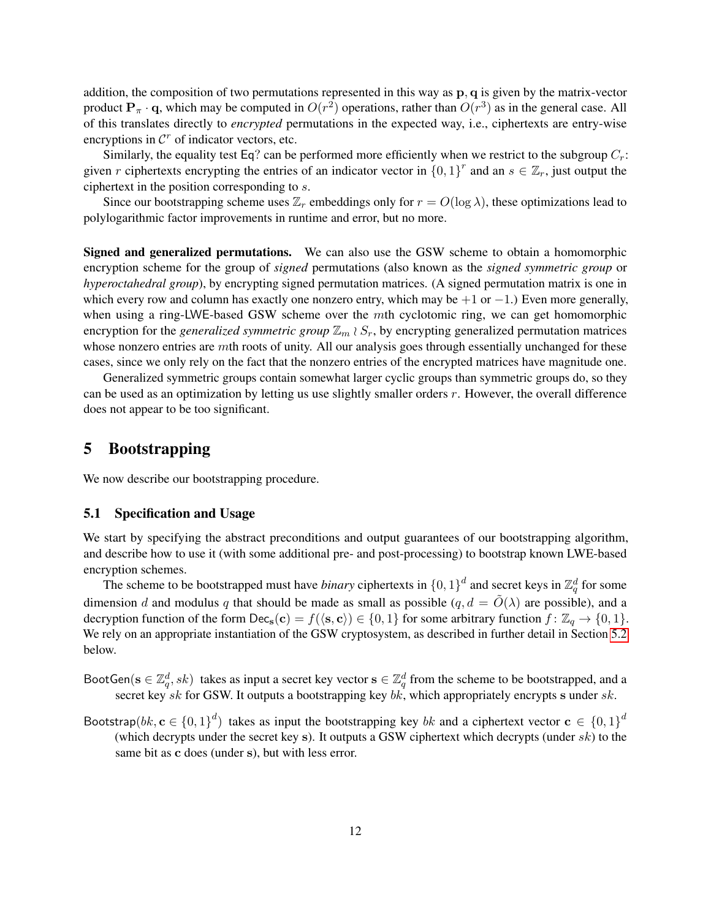addition, the composition of two permutations represented in this way as  $\bf{p}, \bf{q}$  is given by the matrix-vector product  $P_{\pi} \cdot q$ , which may be computed in  $O(r^2)$  operations, rather than  $O(r^3)$  as in the general case. All of this translates directly to *encrypted* permutations in the expected way, i.e., ciphertexts are entry-wise encryptions in  $\mathcal{C}^r$  of indicator vectors, etc.

Similarly, the equality test Eq? can be performed more efficiently when we restrict to the subgroup  $C_r$ : given r ciphertexts encrypting the entries of an indicator vector in  $\{0,1\}^r$  and an  $s \in \mathbb{Z}_r$ , just output the ciphertext in the position corresponding to s.

Since our bootstrapping scheme uses  $\mathbb{Z}_r$  embeddings only for  $r = O(\log \lambda)$ , these optimizations lead to polylogarithmic factor improvements in runtime and error, but no more.

Signed and generalized permutations. We can also use the GSW scheme to obtain a homomorphic encryption scheme for the group of *signed* permutations (also known as the *signed symmetric group* or *hyperoctahedral group*), by encrypting signed permutation matrices. (A signed permutation matrix is one in which every row and column has exactly one nonzero entry, which may be  $+1$  or  $-1$ .) Even more generally, when using a ring-LWE-based GSW scheme over the mth cyclotomic ring, we can get homomorphic encryption for the *generalized symmetric group*  $\mathbb{Z}_m \wr S_r$ , by encrypting generalized permutation matrices whose nonzero entries are mth roots of unity. All our analysis goes through essentially unchanged for these cases, since we only rely on the fact that the nonzero entries of the encrypted matrices have magnitude one.

Generalized symmetric groups contain somewhat larger cyclic groups than symmetric groups do, so they can be used as an optimization by letting us use slightly smaller orders r. However, the overall difference does not appear to be too significant.

# <span id="page-12-0"></span>5 Bootstrapping

We now describe our bootstrapping procedure.

### 5.1 Specification and Usage

We start by specifying the abstract preconditions and output guarantees of our bootstrapping algorithm, and describe how to use it (with some additional pre- and post-processing) to bootstrap known LWE-based encryption schemes.

The scheme to be bootstrapped must have *binary* ciphertexts in  $\{0,1\}^d$  and secret keys in  $\mathbb{Z}_q^d$  for some dimension d and modulus q that should be made as small as possible  $(q, d = \tilde{O}(\lambda)$  are possible), and a decryption function of the form  $\text{Dec}_{s}(c) = f(\langle s, c \rangle) \in \{0, 1\}$  for some arbitrary function  $f: \mathbb{Z}_{q} \to \{0, 1\}.$ We rely on an appropriate instantiation of the GSW cryptosystem, as described in further detail in Section [5.2](#page-13-0) below.

- BootGen( $s \in \mathbb{Z}_q^d$ , sk) takes as input a secret key vector  $s \in \mathbb{Z}_q^d$  from the scheme to be bootstrapped, and a secret key sk for GSW. It outputs a bootstrapping key bk, which appropriately encrypts s under sk.
- Bootstrap $(bk, \mathbf{c} \in \{0,1\}^d)$  takes as input the bootstrapping key bk and a ciphertext vector  $\mathbf{c} \in \{0,1\}^d$ (which decrypts under the secret key s). It outputs a GSW ciphertext which decrypts (under  $sk$ ) to the same bit as c does (under s), but with less error.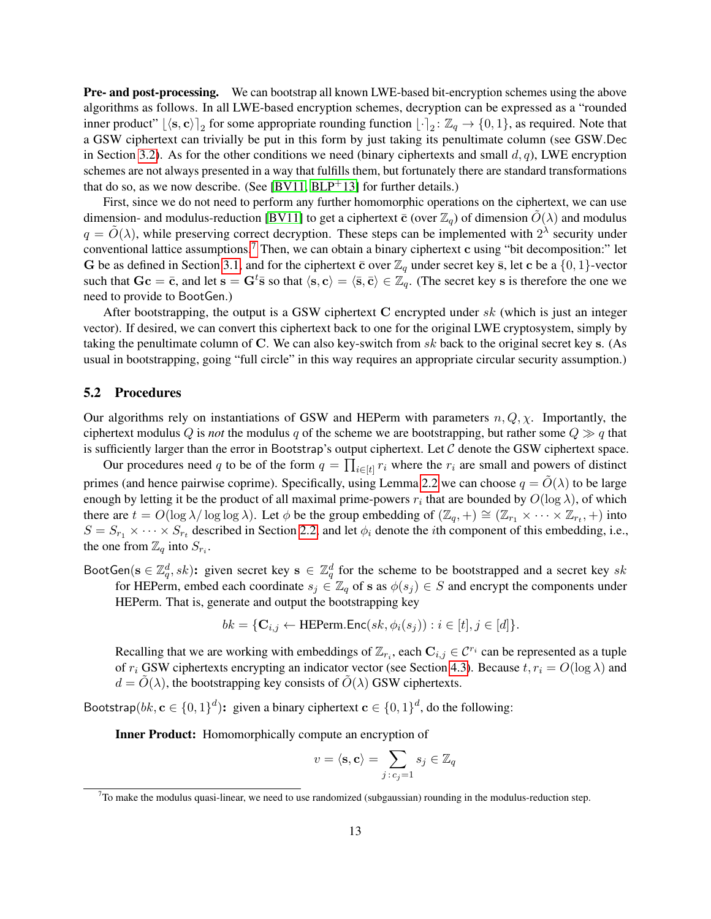Pre- and post-processing. We can bootstrap all known LWE-based bit-encryption schemes using the above algorithms as follows. In all LWE-based encryption schemes, decryption can be expressed as a "rounded inner product"  $\lfloor \langle s, c \rangle \rfloor_2$  for some appropriate rounding function  $\lfloor \cdot \rceil_2 \colon \mathbb{Z}_q \to \{0, 1\}$ , as required. Note that a GSW ciphertext can trivially be put in this form by just taking its penultimate column (see GSW.Dec in Section [3.2\)](#page-7-2). As for the other conditions we need (binary ciphertexts and small  $d, q$ ), LWE encryption schemes are not always presented in a way that fulfills them, but fortunately there are standard transformations that do so, as we now describe. (See [\[BV11,](#page-16-4) [BLP](#page-16-8)<sup>+</sup>13] for further details.)

First, since we do not need to perform any further homomorphic operations on the ciphertext, we can use dimension- and modulus-reduction [\[BV11\]](#page-16-4) to get a ciphertext  $\bar{c}$  (over  $\mathbb{Z}_q$ ) of dimension  $\tilde{O}(\lambda)$  and modulus  $q = \tilde{O}(\lambda)$ , while preserving correct decryption. These steps can be implemented with  $2^{\lambda}$  security under conventional lattice assumptions.<sup>[7](#page-13-1)</sup> Then, we can obtain a binary ciphertext c using "bit decomposition:" let G be as defined in Section [3.1,](#page-7-0) and for the ciphertext  $\bar{c}$  over  $\mathbb{Z}_q$  under secret key  $\bar{s}$ , let c be a  $\{0, 1\}$ -vector such that  $\mathbf{Gc} = \bar{\mathbf{c}}$ , and let  $\mathbf{s} = \mathbf{G}^t \bar{\mathbf{s}}$  so that  $\langle \mathbf{s}, \mathbf{c} \rangle = \langle \bar{\mathbf{s}}, \bar{\mathbf{c}} \rangle \in \mathbb{Z}_q$ . (The secret key s is therefore the one we need to provide to BootGen.)

After bootstrapping, the output is a GSW ciphertext C encrypted under  $sk$  (which is just an integer vector). If desired, we can convert this ciphertext back to one for the original LWE cryptosystem, simply by taking the penultimate column of C. We can also key-switch from  $sk$  back to the original secret key s. (As usual in bootstrapping, going "full circle" in this way requires an appropriate circular security assumption.)

#### <span id="page-13-0"></span>5.2 Procedures

Our algorithms rely on instantiations of GSW and HEPerm with parameters  $n, Q, \chi$ . Importantly, the ciphertext modulus Q is *not* the modulus q of the scheme we are bootstrapping, but rather some  $Q \gg q$  that is sufficiently larger than the error in Bootstrap's output ciphertext. Let  $C$  denote the GSW ciphertext space.

Our procedures need q to be of the form  $q = \prod_{i \in [t]} r_i$  where the  $r_i$  are small and powers of distinct primes (and hence pairwise coprime). Specifically, using Lemma [2.2](#page-6-3) we can choose  $q = O(\lambda)$  to be large enough by letting it be the product of all maximal prime-powers  $r_i$  that are bounded by  $O(\log \lambda)$ , of which there are  $t = O(\log \lambda / \log \log \lambda)$ . Let  $\phi$  be the group embedding of  $(\mathbb{Z}_q, +) \cong (\mathbb{Z}_{r_1} \times \cdots \times \mathbb{Z}_{r_t}, +)$  into  $S = S_{r_1} \times \cdots \times S_{r_t}$  described in Section [2.2,](#page-6-4) and let  $\phi_i$  denote the *i*th component of this embedding, i.e., the one from  $\mathbb{Z}_q$  into  $S_{r_i}$ .

BootGen( $s \in \mathbb{Z}_q^d, sk$ ): given secret key  $s \in \mathbb{Z}_q^d$  for the scheme to be bootstrapped and a secret key sk for HEPerm, embed each coordinate  $s_i \in \mathbb{Z}_q$  of s as  $\phi(s_i) \in S$  and encrypt the components under HEPerm. That is, generate and output the bootstrapping key

$$
bk = \{ \mathbf{C}_{i,j} \leftarrow \text{HEPerm}.\text{Enc}(sk, \phi_i(s_j)) : i \in [t], j \in [d] \}.
$$

Recalling that we are working with embeddings of  $\mathbb{Z}_{r_i}$ , each  $\mathbf{C}_{i,j} \in \mathcal{C}^{r_i}$  can be represented as a tuple of  $r_i$  GSW ciphertexts encrypting an indicator vector (see Section [4.3\)](#page-11-1). Because  $t, r_i = O(\log \lambda)$  and  $d = \tilde{O}(\lambda)$ , the bootstrapping key consists of  $\tilde{O}(\lambda)$  GSW ciphertexts.

Bootstrap $(bk, \mathbf{c} \in \{0,1\}^d)$ : given a binary ciphertext  $\mathbf{c} \in \{0,1\}^d$ , do the following:

Inner Product: Homomorphically compute an encryption of

$$
v = \langle \mathbf{s}, \mathbf{c} \rangle = \sum_{j \,:\, c_j = 1} s_j \in \mathbb{Z}_q
$$

<span id="page-13-1"></span> $7$ To make the modulus quasi-linear, we need to use randomized (subgaussian) rounding in the modulus-reduction step.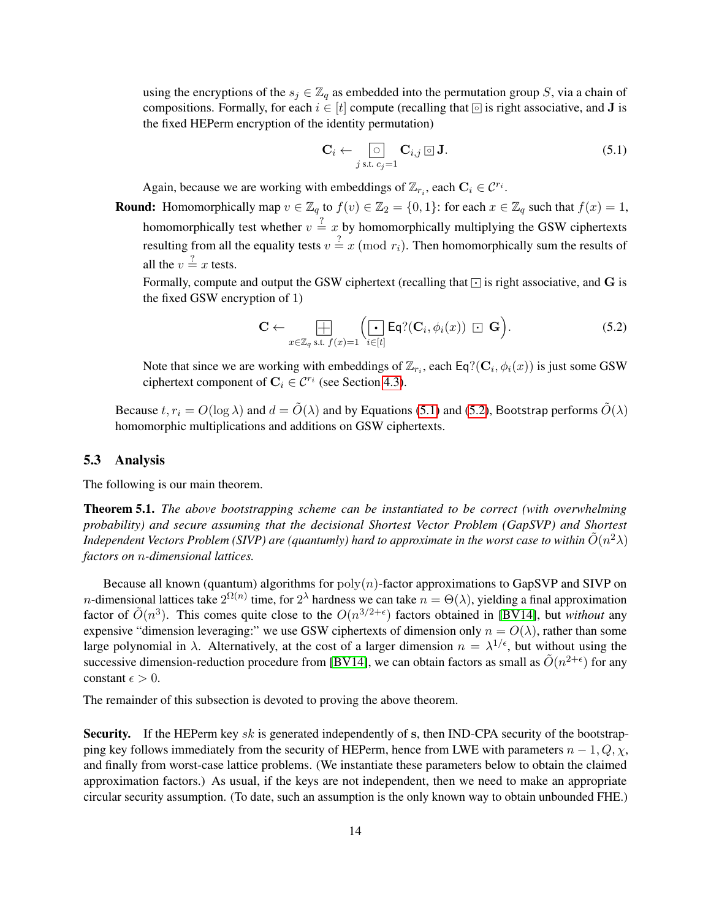using the encryptions of the  $s_j \in \mathbb{Z}_q$  as embedded into the permutation group S, via a chain of compositions. Formally, for each  $i \in [t]$  compute (recalling that  $\circledcirc$  is right associative, and **J** is the fixed HEPerm encryption of the identity permutation)

<span id="page-14-0"></span>
$$
\mathbf{C}_i \leftarrow \bigcirc_{j \text{ s.t. } c_j = 1} \mathbf{C}_{i,j} \, \text{or} \, \mathbf{J}.
$$

Again, because we are working with embeddings of  $\mathbb{Z}_{r_i}$ , each  $\mathbf{C}_i \in \mathcal{C}^{r_i}$ .

**Round:** Homomorphically map  $v \in \mathbb{Z}_q$  to  $f(v) \in \mathbb{Z}_2 = \{0,1\}$ : for each  $x \in \mathbb{Z}_q$  such that  $f(x) = 1$ , homomorphically test whether  $v = x$  by homomorphically multiplying the GSW ciphertexts resulting from all the equality tests  $v = x \pmod{r_i}$ . Then homomorphically sum the results of all the  $v = \frac{?}{x}$  tests.

Formally, compute and output the GSW ciphertext (recalling that  $\lceil \cdot \rceil$  is right associative, and G is the fixed GSW encryption of 1)

<span id="page-14-1"></span>
$$
\mathbf{C} \leftarrow \bigoplus_{x \in \mathbb{Z}_q \text{ s.t. } f(x) = 1} \left( \underbrace{\left[ \cdot \right]}_{i \in [t]} \text{Eq?}(\mathbf{C}_i, \phi_i(x)) \; \boxdot \; \mathbf{G} \right). \tag{5.2}
$$

Note that since we are working with embeddings of  $\mathbb{Z}_{r_i}$ , each Eq?( $\mathbf{C}_i$ ,  $\phi_i(x)$ ) is just some GSW ciphertext component of  $\mathbf{C}_i \in \mathcal{C}^{r_i}$  (see Section [4.3\)](#page-11-1).

Because  $t, r_i = O(\log \lambda)$  and  $d = \tilde{O}(\lambda)$  and by Equations [\(5.1\)](#page-14-0) and [\(5.2\)](#page-14-1), Bootstrap performs  $\tilde{O}(\lambda)$ homomorphic multiplications and additions on GSW ciphertexts.

# 5.3 Analysis

<span id="page-14-2"></span>The following is our main theorem.

Theorem 5.1. *The above bootstrapping scheme can be instantiated to be correct (with overwhelming probability) and secure assuming that the decisional Shortest Vector Problem (GapSVP) and Shortest Independent Vectors Problem (SIVP) are (quantumly) hard to approximate in the worst case to within*  $\tilde O(n^2\lambda)$ *factors on* n*-dimensional lattices.*

Because all known (quantum) algorithms for  $poly(n)$ -factor approximations to GapSVP and SIVP on *n*-dimensional lattices take  $2^{\Omega(n)}$  time, for  $2^{\lambda}$  hardness we can take  $n = \Theta(\lambda)$ , yielding a final approximation factor of  $\tilde{O}(n^3)$ . This comes quite close to the  $O(n^{3/2+\epsilon})$  factors obtained in [\[BV14\]](#page-16-7), but *without* any expensive "dimension leveraging:" we use GSW ciphertexts of dimension only  $n = O(\lambda)$ , rather than some large polynomial in  $\lambda$ . Alternatively, at the cost of a larger dimension  $n = \lambda^{1/\epsilon}$ , but without using the successive dimension-reduction procedure from [\[BV14\]](#page-16-7), we can obtain factors as small as  $\tilde{O}(n^{2+\epsilon})$  for any constant  $\epsilon > 0$ .

The remainder of this subsection is devoted to proving the above theorem.

Security. If the HEPerm key sk is generated independently of s, then IND-CPA security of the bootstrapping key follows immediately from the security of HEPerm, hence from LWE with parameters  $n - 1, Q, \chi$ , and finally from worst-case lattice problems. (We instantiate these parameters below to obtain the claimed approximation factors.) As usual, if the keys are not independent, then we need to make an appropriate circular security assumption. (To date, such an assumption is the only known way to obtain unbounded FHE.)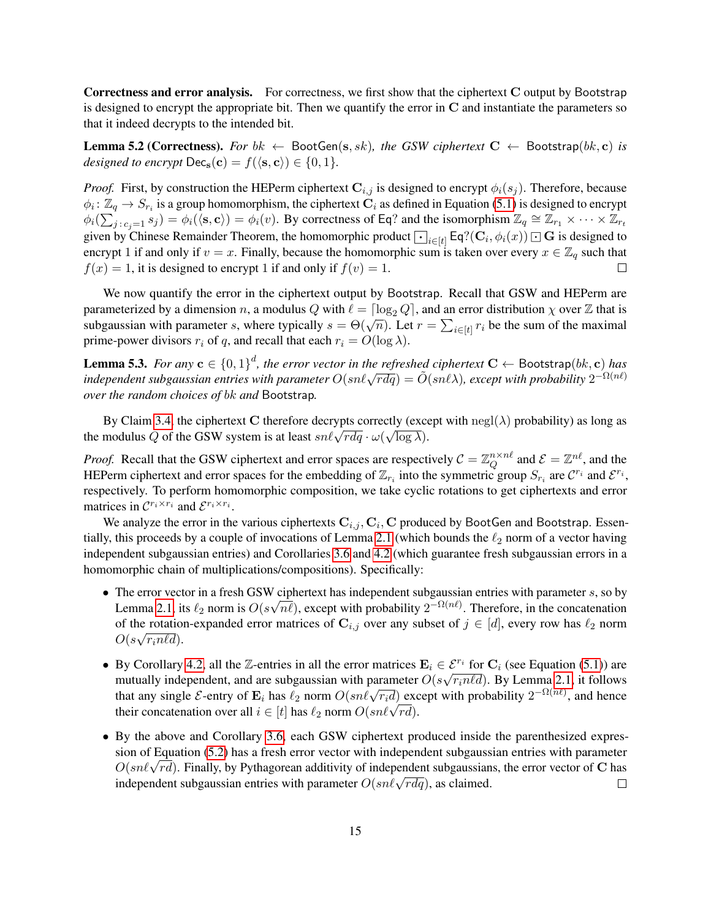Correctness and error analysis. For correctness, we first show that the ciphertext C output by Bootstrap is designed to encrypt the appropriate bit. Then we quantify the error in  $C$  and instantiate the parameters so that it indeed decrypts to the intended bit.

**Lemma 5.2 (Correctness).** For  $bk \leftarrow \text{BootGen}(s, sk)$ , the GSW ciphertext  $C \leftarrow \text{Boostrap}(bk, c)$  is *designed to encrypt*  $\text{Dec}_{s}(c) = f(\langle s, c \rangle) \in \{0, 1\}.$ 

*Proof.* First, by construction the HEPerm ciphertext  $C_{i,j}$  is designed to encrypt  $\phi_i(s_j)$ . Therefore, because  $\phi_i\colon\Z_q\to S_{r_i}$  is a group homomorphism, the ciphertext  $\tilde{\bf C}_i$  as defined in Equation [\(5.1\)](#page-14-0) is designed to encrypt  $\phi_i(\sum_{j: c_j=1}^i s_j) = \phi_i(\langle \mathbf{s}, \mathbf{c} \rangle) = \phi_i(v)$ . By correctness of Eq? and the isomorphism  $\mathbb{Z}_q \cong \mathbb{Z}_{r_1} \times \cdots \times \mathbb{Z}_{r_t}$  $\varphi_i(\sum_{j : c_j = 1} s_j) = \varphi_i(\langle s, c \rangle) = \varphi_i(v)$ . By correctness of Eq. and the isomorphism  $\mathbb{Z}_q = \mathbb{Z}_{r_1} \times \cdots \times \mathbb{Z}_{r_t}$  given by Chinese Remainder Theorem, the homomorphic product  $\bigodot_{i \in [t]} Eq$ ?( $\mathbf{C}_i, \phi_i(x)$ )  $\Box$  G encrypt 1 if and only if  $v = x$ . Finally, because the homomorphic sum is taken over every  $x \in \mathbb{Z}_q$  such that  $f(x) = 1$ , it is designed to encrypt 1 if and only if  $f(v) = 1$ .  $\Box$ 

We now quantify the error in the ciphertext output by Bootstrap. Recall that GSW and HEPerm are parameterized by a dimension n, a modulus Q with  $\ell = \lceil \log_2 Q \rceil$ , and an error distribution  $\chi$  over  $\mathbb Z$  that is parameterized by a difficultion *n*, a modulus  $Q$  with  $t = \log_2 Q$ , and an error distribution  $\chi$  over  $\mathbb{Z}$  that is subgaussian with parameter *s*, where typically  $s = \Theta(\sqrt{n})$ . Let  $r = \sum_{i \in [t]} r_i$  be the sum of the max prime-power divisors  $r_i$  of q, and recall that each  $r_i = O(\log \lambda)$ .

<span id="page-15-0"></span>**Lemma 5.3.** For any  $\mathbf{c} \in \{0,1\}^d$ , the error vector in the refreshed ciphertext  $\mathbf{C} \leftarrow$  Bootstrap $(bk, \mathbf{c})$  has  $i$  independent subgaussian entries with parameter  $O(\text{snl}\sqrt{rdq}) = \tilde{O}(\text{snl}\lambda)$ , except with probability  $2^{-\Omega(n\ell)}$ *over the random choices of* bk *and* Bootstrap*.*

By Claim [3.4,](#page-8-2) the ciphertext C therefore decrypts correctly (except with  $\text{negl}(\lambda)$  probability) as long as By Claim 3.4, the ciphertext C therefore decrypts correctly (except<br>the modulus Q of the GSW system is at least  $sn\ell\sqrt{rdq} \cdot \omega(\sqrt{\log \lambda})$ .

*Proof.* Recall that the GSW ciphertext and error spaces are respectively  $C = \mathbb{Z}_O^{n \times n\ell}$  $\mathcal{Q}^{n\times n\ell}$  and  $\mathcal{E}=\mathbb{Z}^{n\ell}$ , and the HEPerm ciphertext and error spaces for the embedding of  $\mathbb{Z}_{r_i}$  into the symmetric group  $S_{r_i}$  are  $\mathcal{C}^{r_i}$  and  $\mathcal{E}^{r_i}$ , respectively. To perform homomorphic composition, we take cyclic rotations to get ciphertexts and error matrices in  $\mathcal{C}^{r_i \times r_i}$  and  $\mathcal{E}^{r_i \times r_i}$ .

We analyze the error in the various ciphertexts  $\mathbf{C}_{i,j}, \mathbf{C}_i, \mathbf{C}$  produced by BootGen and Bootstrap. Essen-tially, this proceeds by a couple of invocations of Lemma [2.1](#page-5-1) (which bounds the  $\ell_2$  norm of a vector having independent subgaussian entries) and Corollaries [3.6](#page-9-1) and [4.2](#page-11-2) (which guarantee fresh subgaussian errors in a homomorphic chain of multiplications/compositions). Specifically:

- The error vector in a fresh GSW ciphertext has independent subgaussian entries with parameter s, so by Lemma [2.1,](#page-5-1) its  $\ell_2$  norm is  $O(s\sqrt{n\ell})$ , except with probability  $2^{-\Omega(n\ell)}$ . Therefore, in the concatenation of the rotation-expanded error matrices of  $\mathbf{C}_{i,j}$  over any subset of  $j \in [d]$ , every row has  $\ell_2$  norm  $O(s\sqrt{r_i n\ell d}).$
- By Corollary [4.2,](#page-11-2) all the Z-entries in all the error matrices  $\mathbf{E}_i \in \mathcal{E}^{r_i}$  for  $\mathbf{C}_i$  (see Equation [\(5.1\)](#page-14-0)) are mutually independent, and are subgaussian with parameter  $O(s\sqrt{r_i n\ell d})$ . By Lemma [2.1,](#page-5-1) it follows that any single E-entry of  $\mathbf{E}_i$  has  $\ell_2$  norm  $O(sn\ell\sqrt{r_i d})$  except with probability  $2^{-\Omega(n\ell)}$ , and hence their concatenation over all  $i \in [t]$  has  $\ell_2$  norm  $O(\text{sn}\ell \sqrt{rd})$ .<br>their concatenation over all  $i \in [t]$  has  $\ell_2$  norm  $O(\text{sn}\ell \sqrt{rd})$ .
- By the above and Corollary [3.6,](#page-9-1) each GSW ciphertext produced inside the parenthesized expression of Equation [\(5.2\)](#page-14-1) has a fresh error vector with independent subgaussian entries with parameter sion of Equation (5.2) has a fresh error vector with independent subgaussian entries with parameter  $O(sn\ell\sqrt{rd})$ . Finally, by Pythagorean additivity of independent subgaussians, the error vector of C has  $O(\text{sn}\ell \sqrt{rd})$ . Thiany, by Fyundgetean additivity of independent subgaussian independent subgaussian entries with parameter  $O(\text{sn}\ell \sqrt{rdq})$ , as claimed.  $\Box$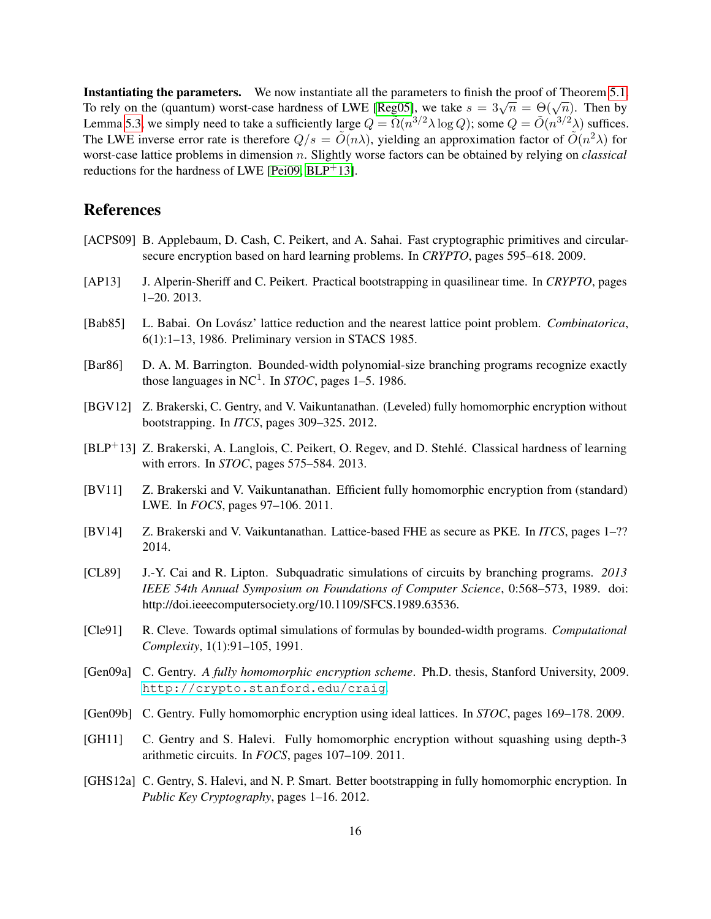Instantiating the parameters. We now instantiate all the parameters to finish the proof of Theorem [5.1.](#page-14-2) **This candidating the parameters.** We now instantiate an the parameters to minst the proof of Theorem 3.1.<br>To rely on the (quantum) worst-case hardness of LWE [\[Reg05\]](#page-17-2), we take  $s = 3\sqrt{n} = \Theta(\sqrt{n})$ . Then by Lemma [5.3,](#page-15-0) we simply need to take a sufficiently large  $Q = \tilde{\Omega}(n^{3/2}\lambda \log Q)$ ; some  $Q = \tilde{O}(n^{3/2}\lambda)$  suffices. The LWE inverse error rate is therefore  $Q/s = \tilde{O}(n\lambda)$ , yielding an approximation factor of  $\tilde{O}(n^2\lambda)$  for worst-case lattice problems in dimension n. Slightly worse factors can be obtained by relying on *classical* reductions for the hardness of LWE [\[Pei09,](#page-17-3)  $BLP^+13$ ].

# References

- <span id="page-16-13"></span>[ACPS09] B. Applebaum, D. Cash, C. Peikert, and A. Sahai. Fast cryptographic primitives and circularsecure encryption based on hard learning problems. In *CRYPTO*, pages 595–618. 2009.
- <span id="page-16-6"></span>[AP13] J. Alperin-Sheriff and C. Peikert. Practical bootstrapping in quasilinear time. In *CRYPTO*, pages 1–20. 2013.
- <span id="page-16-12"></span>[Bab85] L. Babai. On Lovász' lattice reduction and the nearest lattice point problem. *Combinatorica*, 6(1):1–13, 1986. Preliminary version in STACS 1985.
- <span id="page-16-9"></span>[Bar86] D. A. M. Barrington. Bounded-width polynomial-size branching programs recognize exactly those languages in  $NC^1$ . In *STOC*, pages 1–5. 1986.
- <span id="page-16-2"></span>[BGV12] Z. Brakerski, C. Gentry, and V. Vaikuntanathan. (Leveled) fully homomorphic encryption without bootstrapping. In *ITCS*, pages 309–325. 2012.
- <span id="page-16-8"></span>[BLP+13] Z. Brakerski, A. Langlois, C. Peikert, O. Regev, and D. Stehle. Classical hardness of learning ´ with errors. In *STOC*, pages 575–584. 2013.
- <span id="page-16-4"></span>[BV11] Z. Brakerski and V. Vaikuntanathan. Efficient fully homomorphic encryption from (standard) LWE. In *FOCS*, pages 97–106. 2011.
- <span id="page-16-7"></span>[BV14] Z. Brakerski and V. Vaikuntanathan. Lattice-based FHE as secure as PKE. In *ITCS*, pages 1–?? 2014.
- <span id="page-16-10"></span>[CL89] J.-Y. Cai and R. Lipton. Subquadratic simulations of circuits by branching programs. *2013 IEEE 54th Annual Symposium on Foundations of Computer Science*, 0:568–573, 1989. doi: http://doi.ieeecomputersociety.org/10.1109/SFCS.1989.63536.
- <span id="page-16-11"></span>[Cle91] R. Cleve. Towards optimal simulations of formulas by bounded-width programs. *Computational Complexity*, 1(1):91–105, 1991.
- <span id="page-16-1"></span>[Gen09a] C. Gentry. *A fully homomorphic encryption scheme*. Ph.D. thesis, Stanford University, 2009. <http://crypto.stanford.edu/craig>.
- <span id="page-16-0"></span>[Gen09b] C. Gentry. Fully homomorphic encryption using ideal lattices. In *STOC*, pages 169–178. 2009.
- <span id="page-16-3"></span>[GH11] C. Gentry and S. Halevi. Fully homomorphic encryption without squashing using depth-3 arithmetic circuits. In *FOCS*, pages 107–109. 2011.
- <span id="page-16-5"></span>[GHS12a] C. Gentry, S. Halevi, and N. P. Smart. Better bootstrapping in fully homomorphic encryption. In *Public Key Cryptography*, pages 1–16. 2012.